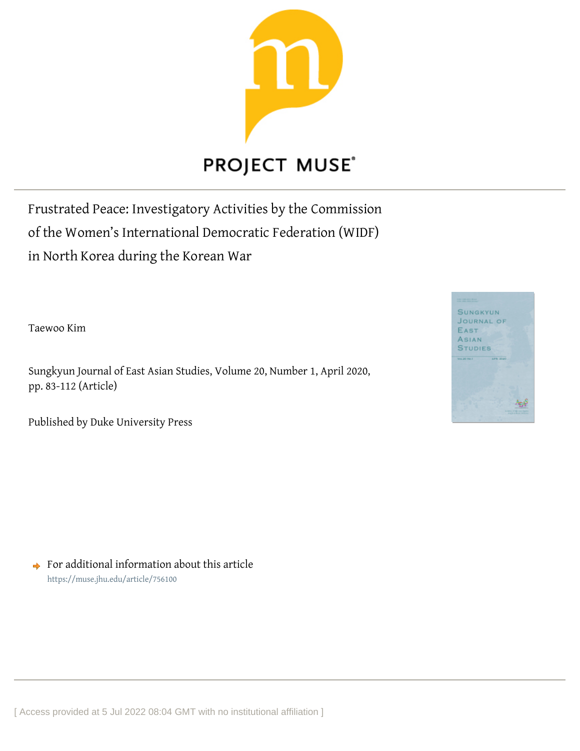

Frustrated Peace: Investigatory Activities by the Commission of the Women's International Democratic Federation (WIDF) in North Korea during the Korean War

Taewoo Kim

Sungkyun Journal of East Asian Studies, Volume 20, Number 1, April 2020, pp. 83-112 (Article)

Published by Duke University Press



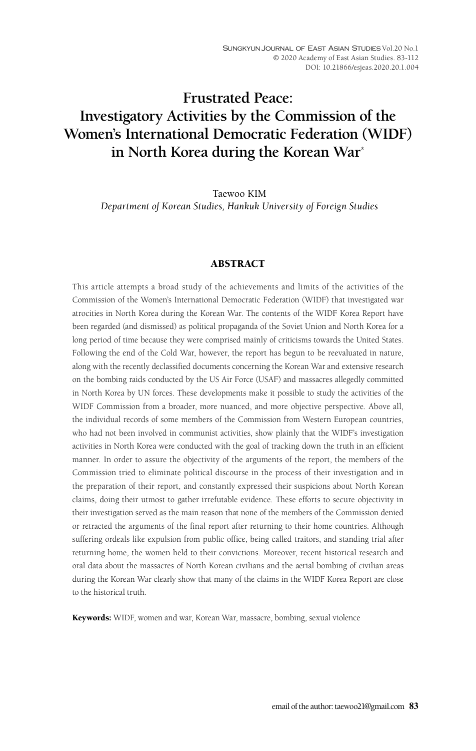# **Frustrated Peace: Investigatory Activities by the Commission of the Women's International Democratic Federation (WIDF) in North Korea during the Korean War\***

Taewoo KIM *Department of Korean Studies, Hankuk University of Foreign Studies*

# ABSTRACT

This article attempts a broad study of the achievements and limits of the activities of the Commission of the Women's International Democratic Federation (WIDF) that investigated war atrocities in North Korea during the Korean War. The contents of the WIDF Korea Report have been regarded (and dismissed) as political propaganda of the Soviet Union and North Korea for a long period of time because they were comprised mainly of criticisms towards the United States. Following the end of the Cold War, however, the report has begun to be reevaluated in nature, along with the recently declassified documents concerning the Korean War and extensive research on the bombing raids conducted by the US Air Force (USAF) and massacres allegedly committed in North Korea by UN forces. These developments make it possible to study the activities of the WIDF Commission from a broader, more nuanced, and more objective perspective. Above all, the individual records of some members of the Commission from Western European countries, who had not been involved in communist activities, show plainly that the WIDF's investigation activities in North Korea were conducted with the goal of tracking down the truth in an efficient manner. In order to assure the objectivity of the arguments of the report, the members of the Commission tried to eliminate political discourse in the process of their investigation and in the preparation of their report, and constantly expressed their suspicions about North Korean claims, doing their utmost to gather irrefutable evidence. These efforts to secure objectivity in their investigation served as the main reason that none of the members of the Commission denied or retracted the arguments of the final report after returning to their home countries. Although suffering ordeals like expulsion from public office, being called traitors, and standing trial after returning home, the women held to their convictions. Moreover, recent historical research and oral data about the massacres of North Korean civilians and the aerial bombing of civilian areas during the Korean War clearly show that many of the claims in the WIDF Korea Report are close to the historical truth.

Keywords: WIDF, women and war, Korean War, massacre, bombing, sexual violence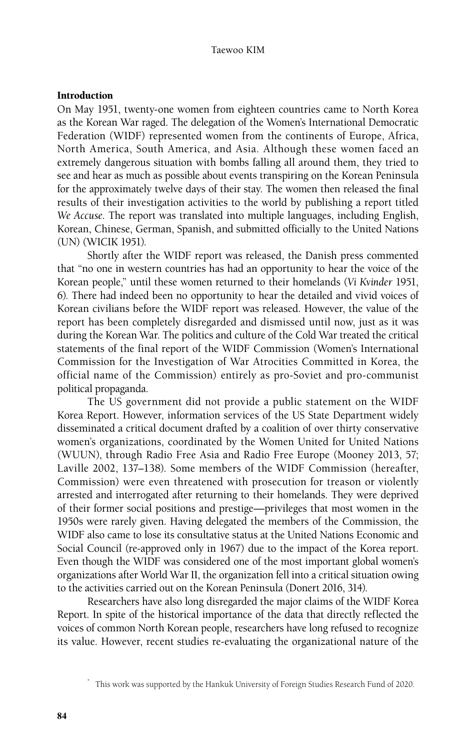# Introduction

On May 1951, twenty-one women from eighteen countries came to North Korea as the Korean War raged. The delegation of the Women's International Democratic Federation (WIDF) represented women from the continents of Europe, Africa, North America, South America, and Asia. Although these women faced an extremely dangerous situation with bombs falling all around them, they tried to see and hear as much as possible about events transpiring on the Korean Peninsula for the approximately twelve days of their stay. The women then released the final results of their investigation activities to the world by publishing a report titled *We Accuse*. The report was translated into multiple languages, including English, Korean, Chinese, German, Spanish, and submitted officially to the United Nations (UN) (WICIK 1951).

Shortly after the WIDF report was released, the Danish press commented that "no one in western countries has had an opportunity to hear the voice of the Korean people," until these women returned to their homelands (*Vi Kvinder* 1951, 6). There had indeed been no opportunity to hear the detailed and vivid voices of Korean civilians before the WIDF report was released. However, the value of the report has been completely disregarded and dismissed until now, just as it was during the Korean War. The politics and culture of the Cold War treated the critical statements of the final report of the WIDF Commission (Women's International Commission for the Investigation of War Atrocities Committed in Korea, the official name of the Commission) entirely as pro-Soviet and pro-communist political propaganda.

The US government did not provide a public statement on the WIDF Korea Report. However, information services of the US State Department widely disseminated a critical document drafted by a coalition of over thirty conservative women's organizations, coordinated by the Women United for United Nations (WUUN), through Radio Free Asia and Radio Free Europe (Mooney 2013, 57; Laville 2002, 137–138). Some members of the WIDF Commission (hereafter, Commission) were even threatened with prosecution for treason or violently arrested and interrogated after returning to their homelands. They were deprived of their former social positions and prestige—privileges that most women in the 1950s were rarely given. Having delegated the members of the Commission, the WIDF also came to lose its consultative status at the United Nations Economic and Social Council (re-approved only in 1967) due to the impact of the Korea report. Even though the WIDF was considered one of the most important global women's organizations after World War II, the organization fell into a critical situation owing to the activities carried out on the Korean Peninsula (Donert 2016, 314).

Researchers have also long disregarded the major claims of the WIDF Korea Report. In spite of the historical importance of the data that directly reflected the voices of common North Korean people, researchers have long refused to recognize its value. However, recent studies re-evaluating the organizational nature of the

This work was supported by the Hankuk University of Foreign Studies Research Fund of 2020.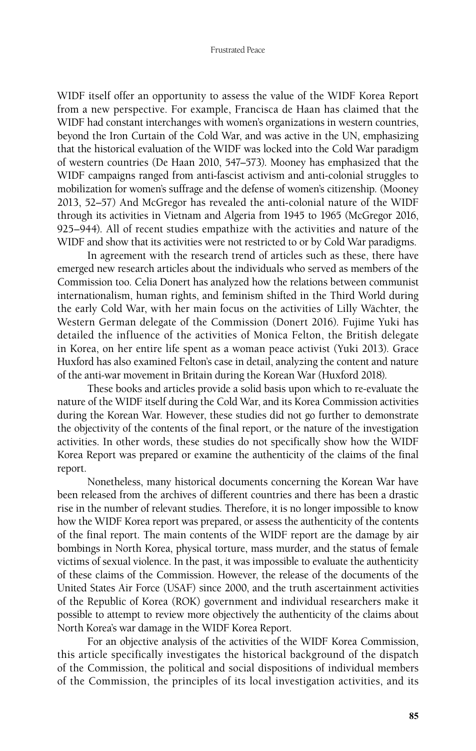WIDF itself offer an opportunity to assess the value of the WIDF Korea Report from a new perspective. For example, Francisca de Haan has claimed that the WIDF had constant interchanges with women's organizations in western countries, beyond the Iron Curtain of the Cold War, and was active in the UN, emphasizing that the historical evaluation of the WIDF was locked into the Cold War paradigm of western countries (De Haan 2010, 547–573). Mooney has emphasized that the WIDF campaigns ranged from anti-fascist activism and anti-colonial struggles to mobilization for women's suffrage and the defense of women's citizenship. (Mooney 2013, 52–57) And McGregor has revealed the anti-colonial nature of the WIDF through its activities in Vietnam and Algeria from 1945 to 1965 (McGregor 2016, 925–944). All of recent studies empathize with the activities and nature of the WIDF and show that its activities were not restricted to or by Cold War paradigms.

In agreement with the research trend of articles such as these, there have emerged new research articles about the individuals who served as members of the Commission too. Celia Donert has analyzed how the relations between communist internationalism, human rights, and feminism shifted in the Third World during the early Cold War, with her main focus on the activities of Lilly Wächter, the Western German delegate of the Commission (Donert 2016). Fujime Yuki has detailed the influence of the activities of Monica Felton, the British delegate in Korea, on her entire life spent as a woman peace activist (Yuki 2013). Grace Huxford has also examined Felton's case in detail, analyzing the content and nature of the anti-war movement in Britain during the Korean War (Huxford 2018).

These books and articles provide a solid basis upon which to re-evaluate the nature of the WIDF itself during the Cold War, and its Korea Commission activities during the Korean War. However, these studies did not go further to demonstrate the objectivity of the contents of the final report, or the nature of the investigation activities. In other words, these studies do not specifically show how the WIDF Korea Report was prepared or examine the authenticity of the claims of the final report.

Nonetheless, many historical documents concerning the Korean War have been released from the archives of different countries and there has been a drastic rise in the number of relevant studies. Therefore, it is no longer impossible to know how the WIDF Korea report was prepared, or assess the authenticity of the contents of the final report. The main contents of the WIDF report are the damage by air bombings in North Korea, physical torture, mass murder, and the status of female victims of sexual violence. In the past, it was impossible to evaluate the authenticity of these claims of the Commission. However, the release of the documents of the United States Air Force (USAF) since 2000, and the truth ascertainment activities of the Republic of Korea (ROK) government and individual researchers make it possible to attempt to review more objectively the authenticity of the claims about North Korea's war damage in the WIDF Korea Report.

For an objective analysis of the activities of the WIDF Korea Commission, this article specifically investigates the historical background of the dispatch of the Commission, the political and social dispositions of individual members of the Commission, the principles of its local investigation activities, and its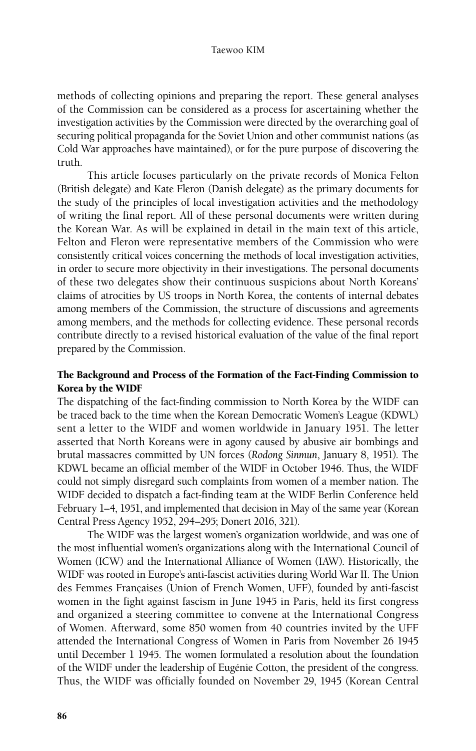methods of collecting opinions and preparing the report. These general analyses of the Commission can be considered as a process for ascertaining whether the investigation activities by the Commission were directed by the overarching goal of securing political propaganda for the Soviet Union and other communist nations (as Cold War approaches have maintained), or for the pure purpose of discovering the truth.

This article focuses particularly on the private records of Monica Felton (British delegate) and Kate Fleron (Danish delegate) as the primary documents for the study of the principles of local investigation activities and the methodology of writing the final report. All of these personal documents were written during the Korean War. As will be explained in detail in the main text of this article, Felton and Fleron were representative members of the Commission who were consistently critical voices concerning the methods of local investigation activities, in order to secure more objectivity in their investigations. The personal documents of these two delegates show their continuous suspicions about North Koreans' claims of atrocities by US troops in North Korea, the contents of internal debates among members of the Commission, the structure of discussions and agreements among members, and the methods for collecting evidence. These personal records contribute directly to a revised historical evaluation of the value of the final report prepared by the Commission.

# The Background and Process of the Formation of the Fact-Finding Commission to Korea by the WIDF

The dispatching of the fact-finding commission to North Korea by the WIDF can be traced back to the time when the Korean Democratic Women's League (KDWL) sent a letter to the WIDF and women worldwide in January 1951. The letter asserted that North Koreans were in agony caused by abusive air bombings and brutal massacres committed by UN forces (*Rodong Sinmun*, January 8, 1951). The KDWL became an official member of the WIDF in October 1946. Thus, the WIDF could not simply disregard such complaints from women of a member nation. The WIDF decided to dispatch a fact-finding team at the WIDF Berlin Conference held February 1–4, 1951, and implemented that decision in May of the same year (Korean Central Press Agency 1952, 294–295; Donert 2016, 321).

The WIDF was the largest women's organization worldwide, and was one of the most influential women's organizations along with the International Council of Women (ICW) and the International Alliance of Women (IAW). Historically, the WIDF was rooted in Europe's anti-fascist activities during World War II. The Union des Femmes Françaises (Union of French Women, UFF), founded by anti-fascist women in the fight against fascism in June 1945 in Paris, held its first congress and organized a steering committee to convene at the International Congress of Women. Afterward, some 850 women from 40 countries invited by the UFF attended the International Congress of Women in Paris from November 26 1945 until December 1 1945. The women formulated a resolution about the foundation of the WIDF under the leadership of Eugénie Cotton, the president of the congress. Thus, the WIDF was officially founded on November 29, 1945 (Korean Central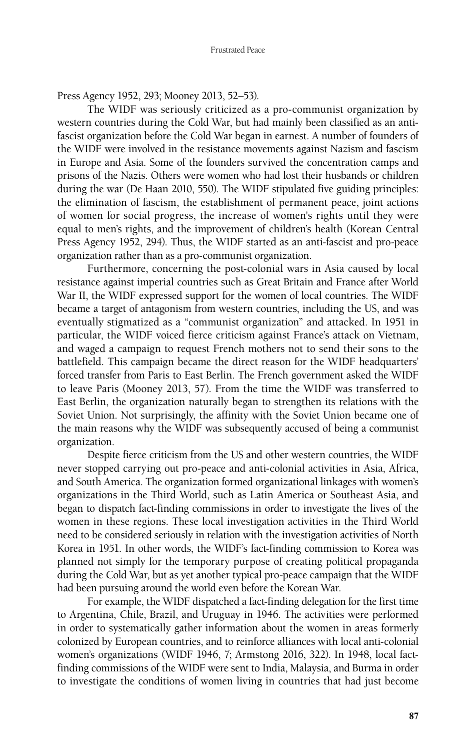Press Agency 1952, 293; Mooney 2013, 52–53).

The WIDF was seriously criticized as a pro-communist organization by western countries during the Cold War, but had mainly been classified as an antifascist organization before the Cold War began in earnest. A number of founders of the WIDF were involved in the resistance movements against Nazism and fascism in Europe and Asia. Some of the founders survived the concentration camps and prisons of the Nazis. Others were women who had lost their husbands or children during the war (De Haan 2010, 550). The WIDF stipulated five guiding principles: the elimination of fascism, the establishment of permanent peace, joint actions of women for social progress, the increase of women's rights until they were equal to men's rights, and the improvement of children's health (Korean Central Press Agency 1952, 294). Thus, the WIDF started as an anti-fascist and pro-peace organization rather than as a pro-communist organization.

Furthermore, concerning the post-colonial wars in Asia caused by local resistance against imperial countries such as Great Britain and France after World War II, the WIDF expressed support for the women of local countries. The WIDF became a target of antagonism from western countries, including the US, and was eventually stigmatized as a "communist organization" and attacked. In 1951 in particular, the WIDF voiced fierce criticism against France's attack on Vietnam, and waged a campaign to request French mothers not to send their sons to the battlefield. This campaign became the direct reason for the WIDF headquarters' forced transfer from Paris to East Berlin. The French government asked the WIDF to leave Paris (Mooney 2013, 57). From the time the WIDF was transferred to East Berlin, the organization naturally began to strengthen its relations with the Soviet Union. Not surprisingly, the affinity with the Soviet Union became one of the main reasons why the WIDF was subsequently accused of being a communist organization.

Despite fierce criticism from the US and other western countries, the WIDF never stopped carrying out pro-peace and anti-colonial activities in Asia, Africa, and South America. The organization formed organizational linkages with women's organizations in the Third World, such as Latin America or Southeast Asia, and began to dispatch fact-finding commissions in order to investigate the lives of the women in these regions. These local investigation activities in the Third World need to be considered seriously in relation with the investigation activities of North Korea in 1951. In other words, the WIDF's fact-finding commission to Korea was planned not simply for the temporary purpose of creating political propaganda during the Cold War, but as yet another typical pro-peace campaign that the WIDF had been pursuing around the world even before the Korean War.

For example, the WIDF dispatched a fact-finding delegation for the first time to Argentina, Chile, Brazil, and Uruguay in 1946. The activities were performed in order to systematically gather information about the women in areas formerly colonized by European countries, and to reinforce alliances with local anti-colonial women's organizations (WIDF 1946, 7; Armstong 2016, 322). In 1948, local factfinding commissions of the WIDF were sent to India, Malaysia, and Burma in order to investigate the conditions of women living in countries that had just become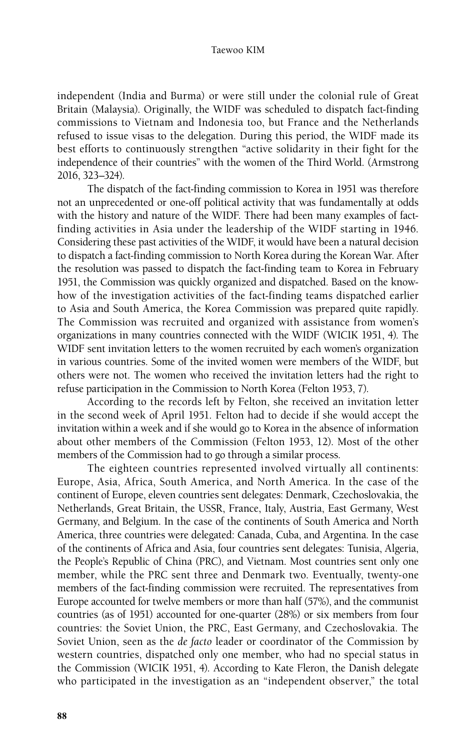independent (India and Burma) or were still under the colonial rule of Great Britain (Malaysia). Originally, the WIDF was scheduled to dispatch fact-finding commissions to Vietnam and Indonesia too, but France and the Netherlands refused to issue visas to the delegation. During this period, the WIDF made its best efforts to continuously strengthen "active solidarity in their fight for the independence of their countries" with the women of the Third World. (Armstrong 2016, 323–324).

The dispatch of the fact-finding commission to Korea in 1951 was therefore not an unprecedented or one-off political activity that was fundamentally at odds with the history and nature of the WIDF. There had been many examples of factfinding activities in Asia under the leadership of the WIDF starting in 1946. Considering these past activities of the WIDF, it would have been a natural decision to dispatch a fact-finding commission to North Korea during the Korean War. After the resolution was passed to dispatch the fact-finding team to Korea in February 1951, the Commission was quickly organized and dispatched. Based on the knowhow of the investigation activities of the fact-finding teams dispatched earlier to Asia and South America, the Korea Commission was prepared quite rapidly. The Commission was recruited and organized with assistance from women's organizations in many countries connected with the WIDF (WICIK 1951, 4). The WIDF sent invitation letters to the women recruited by each women's organization in various countries. Some of the invited women were members of the WIDF, but others were not. The women who received the invitation letters had the right to refuse participation in the Commission to North Korea (Felton 1953, 7).

According to the records left by Felton, she received an invitation letter in the second week of April 1951. Felton had to decide if she would accept the invitation within a week and if she would go to Korea in the absence of information about other members of the Commission (Felton 1953, 12). Most of the other members of the Commission had to go through a similar process.

The eighteen countries represented involved virtually all continents: Europe, Asia, Africa, South America, and North America. In the case of the continent of Europe, eleven countries sent delegates: Denmark, Czechoslovakia, the Netherlands, Great Britain, the USSR, France, Italy, Austria, East Germany, West Germany, and Belgium. In the case of the continents of South America and North America, three countries were delegated: Canada, Cuba, and Argentina. In the case of the continents of Africa and Asia, four countries sent delegates: Tunisia, Algeria, the People's Republic of China (PRC), and Vietnam. Most countries sent only one member, while the PRC sent three and Denmark two. Eventually, twenty-one members of the fact-finding commission were recruited. The representatives from Europe accounted for twelve members or more than half (57%), and the communist countries (as of 1951) accounted for one-quarter (28%) or six members from four countries: the Soviet Union, the PRC, East Germany, and Czechoslovakia. The Soviet Union, seen as the *de facto* leader or coordinator of the Commission by western countries, dispatched only one member, who had no special status in the Commission (WICIK 1951, 4). According to Kate Fleron, the Danish delegate who participated in the investigation as an "independent observer," the total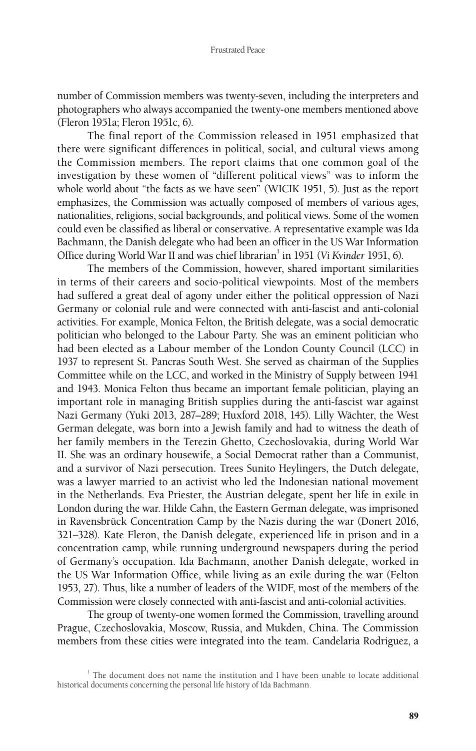number of Commission members was twenty-seven, including the interpreters and photographers who always accompanied the twenty-one members mentioned above (Fleron 1951a; Fleron 1951c, 6).

The final report of the Commission released in 1951 emphasized that there were significant differences in political, social, and cultural views among the Commission members. The report claims that one common goal of the investigation by these women of "different political views" was to inform the whole world about "the facts as we have seen" (WICIK 1951, 5). Just as the report emphasizes, the Commission was actually composed of members of various ages, nationalities, religions, social backgrounds, and political views. Some of the women could even be classified as liberal or conservative. A representative example was Ida Bachmann, the Danish delegate who had been an officer in the US War Information Office during World War II and was chief librarian<sup>1</sup> in 1951 (Vi Kvinder 1951, 6).

The members of the Commission, however, shared important similarities in terms of their careers and socio-political viewpoints. Most of the members had suffered a great deal of agony under either the political oppression of Nazi Germany or colonial rule and were connected with anti-fascist and anti-colonial activities. For example, Monica Felton, the British delegate, was a social democratic politician who belonged to the Labour Party. She was an eminent politician who had been elected as a Labour member of the London County Council (LCC) in 1937 to represent St. Pancras South West. She served as chairman of the Supplies Committee while on the LCC, and worked in the Ministry of Supply between 1941 and 1943. Monica Felton thus became an important female politician, playing an important role in managing British supplies during the anti-fascist war against Nazi Germany (Yuki 2013, 287–289; Huxford 2018, 145). Lilly Wächter, the West German delegate, was born into a Jewish family and had to witness the death of her family members in the Terezin Ghetto, Czechoslovakia, during World War II. She was an ordinary housewife, a Social Democrat rather than a Communist, and a survivor of Nazi persecution. Trees Sunito Heylingers, the Dutch delegate, was a lawyer married to an activist who led the Indonesian national movement in the Netherlands. Eva Priester, the Austrian delegate, spent her life in exile in London during the war. Hilde Cahn, the Eastern German delegate, was imprisoned in Ravensbrück Concentration Camp by the Nazis during the war (Donert 2016, 321–328). Kate Fleron, the Danish delegate, experienced life in prison and in a concentration camp, while running underground newspapers during the period of Germany's occupation. Ida Bachmann, another Danish delegate, worked in the US War Information Office, while living as an exile during the war (Felton 1953, 27). Thus, like a number of leaders of the WIDF, most of the members of the Commission were closely connected with anti-fascist and anti-colonial activities.

The group of twenty-one women formed the Commission, travelling around Prague, Czechoslovakia, Moscow, Russia, and Mukden, China. The Commission members from these cities were integrated into the team. Candelaria Rodriguez, a

<sup>&</sup>lt;sup>1</sup> The document does not name the institution and I have been unable to locate additional historical documents concerning the personal life history of Ida Bachmann.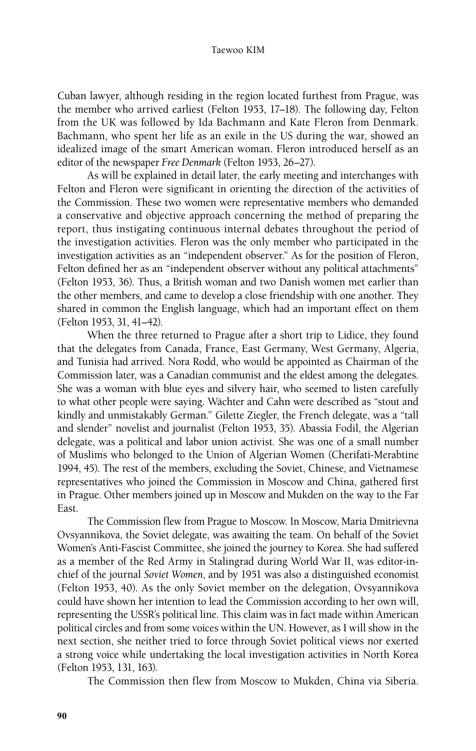Cuban lawyer, although residing in the region located furthest from Prague, was the member who arrived earliest (Felton 1953, 17–18). The following day, Felton from the UK was followed by Ida Bachmann and Kate Fleron from Denmark. Bachmann, who spent her life as an exile in the US during the war, showed an idealized image of the smart American woman. Fleron introduced herself as an editor of the newspaper *Free Denmark* (Felton 1953, 26–27).

As will be explained in detail later, the early meeting and interchanges with Felton and Fleron were significant in orienting the direction of the activities of the Commission. These two women were representative members who demanded a conservative and objective approach concerning the method of preparing the report, thus instigating continuous internal debates throughout the period of the investigation activities. Fleron was the only member who participated in the investigation activities as an "independent observer." As for the position of Fleron, Felton defined her as an "independent observer without any political attachments" (Felton 1953, 36). Thus, a British woman and two Danish women met earlier than the other members, and came to develop a close friendship with one another. They shared in common the English language, which had an important effect on them (Felton 1953, 31, 41–42).

When the three returned to Prague after a short trip to Lidice, they found that the delegates from Canada, France, East Germany, West Germany, Algeria, and Tunisia had arrived. Nora Rodd, who would be appointed as Chairman of the Commission later, was a Canadian communist and the eldest among the delegates. She was a woman with blue eyes and silvery hair, who seemed to listen carefully to what other people were saying. Wächter and Cahn were described as "stout and kindly and unmistakably German." Gilette Ziegler, the French delegate, was a "tall and slender" novelist and journalist (Felton 1953, 35). Abassia Fodil, the Algerian delegate, was a political and labor union activist. She was one of a small number of Muslims who belonged to the Union of Algerian Women (Cherifati-Merabtine 1994, 45). The rest of the members, excluding the Soviet, Chinese, and Vietnamese representatives who joined the Commission in Moscow and China, gathered first in Prague. Other members joined up in Moscow and Mukden on the way to the Far East.

The Commission flew from Prague to Moscow. In Moscow, Maria Dmitrievna Ovsyannikova, the Soviet delegate, was awaiting the team. On behalf of the Soviet Women's Anti-Fascist Committee, she joined the journey to Korea. She had suffered as a member of the Red Army in Stalingrad during World War II, was editor-inchief of the journal *Soviet Women*, and by 1951 was also a distinguished economist (Felton 1953, 40). As the only Soviet member on the delegation, Ovsyannikova could have shown her intention to lead the Commission according to her own will, representing the USSR's political line. This claim was in fact made within American political circles and from some voices within the UN. However, as I will show in the next section, she neither tried to force through Soviet political views nor exerted a strong voice while undertaking the local investigation activities in North Korea (Felton 1953, 131, 163).

The Commission then flew from Moscow to Mukden, China via Siberia.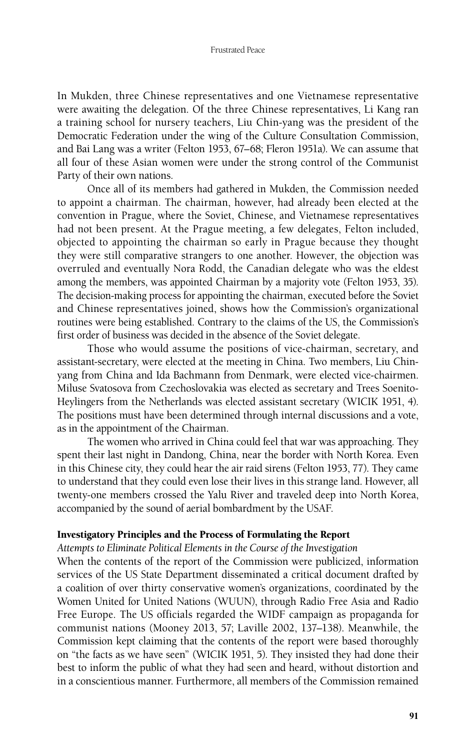In Mukden, three Chinese representatives and one Vietnamese representative were awaiting the delegation. Of the three Chinese representatives, Li Kang ran a training school for nursery teachers, Liu Chin-yang was the president of the Democratic Federation under the wing of the Culture Consultation Commission, and Bai Lang was a writer (Felton 1953, 67–68; Fleron 1951a). We can assume that all four of these Asian women were under the strong control of the Communist Party of their own nations.

Once all of its members had gathered in Mukden, the Commission needed to appoint a chairman. The chairman, however, had already been elected at the convention in Prague, where the Soviet, Chinese, and Vietnamese representatives had not been present. At the Prague meeting, a few delegates, Felton included, objected to appointing the chairman so early in Prague because they thought they were still comparative strangers to one another. However, the objection was overruled and eventually Nora Rodd, the Canadian delegate who was the eldest among the members, was appointed Chairman by a majority vote (Felton 1953, 35). The decision-making process for appointing the chairman, executed before the Soviet and Chinese representatives joined, shows how the Commission's organizational routines were being established. Contrary to the claims of the US, the Commission's first order of business was decided in the absence of the Soviet delegate.

Those who would assume the positions of vice-chairman, secretary, and assistant-secretary, were elected at the meeting in China. Two members, Liu Chinyang from China and Ida Bachmann from Denmark, were elected vice-chairmen. Miluse Svatosova from Czechoslovakia was elected as secretary and Trees Soenito-Heylingers from the Netherlands was elected assistant secretary (WICIK 1951, 4). The positions must have been determined through internal discussions and a vote, as in the appointment of the Chairman.

The women who arrived in China could feel that war was approaching. They spent their last night in Dandong, China, near the border with North Korea. Even in this Chinese city, they could hear the air raid sirens (Felton 1953, 77). They came to understand that they could even lose their lives in this strange land. However, all twenty-one members crossed the Yalu River and traveled deep into North Korea, accompanied by the sound of aerial bombardment by the USAF.

# Investigatory Principles and the Process of Formulating the Report

*Attempts to Eliminate Political Elements in the Course of the Investigation*

When the contents of the report of the Commission were publicized, information services of the US State Department disseminated a critical document drafted by a coalition of over thirty conservative women's organizations, coordinated by the Women United for United Nations (WUUN), through Radio Free Asia and Radio Free Europe. The US officials regarded the WIDF campaign as propaganda for communist nations (Mooney 2013, 57; Laville 2002, 137–138). Meanwhile, the Commission kept claiming that the contents of the report were based thoroughly on "the facts as we have seen" (WICIK 1951, 5). They insisted they had done their best to inform the public of what they had seen and heard, without distortion and in a conscientious manner. Furthermore, all members of the Commission remained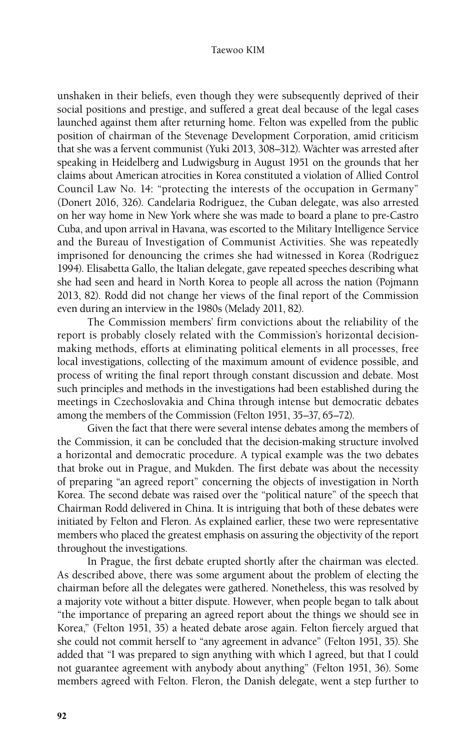unshaken in their beliefs, even though they were subsequently deprived of their social positions and prestige, and suffered a great deal because of the legal cases launched against them after returning home. Felton was expelled from the public position of chairman of the Stevenage Development Corporation, amid criticism that she was a fervent communist (Yuki 2013, 308–312). Wächter was arrested after speaking in Heidelberg and Ludwigsburg in August 1951 on the grounds that her claims about American atrocities in Korea constituted a violation of Allied Control Council Law No. 14: "protecting the interests of the occupation in Germany" (Donert 2016, 326). Candelaria Rodriguez, the Cuban delegate, was also arrested on her way home in New York where she was made to board a plane to pre-Castro Cuba, and upon arrival in Havana, was escorted to the Military Intelligence Service and the Bureau of Investigation of Communist Activities. She was repeatedly imprisoned for denouncing the crimes she had witnessed in Korea (Rodriguez 1994). Elisabetta Gallo, the Italian delegate, gave repeated speeches describing what she had seen and heard in North Korea to people all across the nation (Pojmann 2013, 82). Rodd did not change her views of the final report of the Commission even during an interview in the 1980s (Melady 2011, 82).

The Commission members' firm convictions about the reliability of the report is probably closely related with the Commission's horizontal decisionmaking methods, efforts at eliminating political elements in all processes, free local investigations, collecting of the maximum amount of evidence possible, and process of writing the final report through constant discussion and debate. Most such principles and methods in the investigations had been established during the meetings in Czechoslovakia and China through intense but democratic debates among the members of the Commission (Felton 1951, 35–37, 65–72).

Given the fact that there were several intense debates among the members of the Commission, it can be concluded that the decision-making structure involved a horizontal and democratic procedure. A typical example was the two debates that broke out in Prague, and Mukden. The first debate was about the necessity of preparing "an agreed report" concerning the objects of investigation in North Korea. The second debate was raised over the "political nature" of the speech that Chairman Rodd delivered in China. It is intriguing that both of these debates were initiated by Felton and Fleron. As explained earlier, these two were representative members who placed the greatest emphasis on assuring the objectivity of the report throughout the investigations.

In Prague, the first debate erupted shortly after the chairman was elected. As described above, there was some argument about the problem of electing the chairman before all the delegates were gathered. Nonetheless, this was resolved by a majority vote without a bitter dispute. However, when people began to talk about "the importance of preparing an agreed report about the things we should see in Korea," (Felton 1951, 35) a heated debate arose again. Felton fiercely argued that she could not commit herself to "any agreement in advance" (Felton 1951, 35). She added that "I was prepared to sign anything with which I agreed, but that I could not guarantee agreement with anybody about anything" (Felton 1951, 36). Some members agreed with Felton. Fleron, the Danish delegate, went a step further to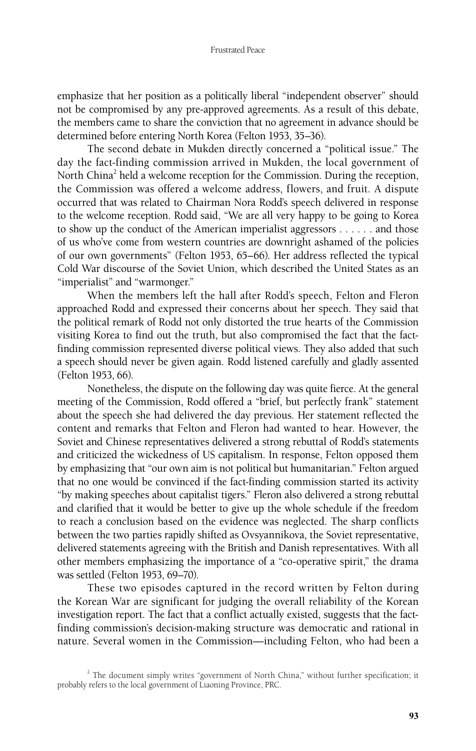emphasize that her position as a politically liberal "independent observer" should not be compromised by any pre-approved agreements. As a result of this debate, the members came to share the conviction that no agreement in advance should be determined before entering North Korea (Felton 1953, 35–36).

The second debate in Mukden directly concerned a "political issue." The day the fact-finding commission arrived in Mukden, the local government of North China<sup>2</sup> held a welcome reception for the Commission. During the reception, the Commission was offered a welcome address, flowers, and fruit. A dispute occurred that was related to Chairman Nora Rodd's speech delivered in response to the welcome reception. Rodd said, "We are all very happy to be going to Korea to show up the conduct of the American imperialist aggressors . . . . . . and those of us who've come from western countries are downright ashamed of the policies of our own governments" (Felton 1953, 65–66). Her address reflected the typical Cold War discourse of the Soviet Union, which described the United States as an "imperialist" and "warmonger."

When the members left the hall after Rodd's speech, Felton and Fleron approached Rodd and expressed their concerns about her speech. They said that the political remark of Rodd not only distorted the true hearts of the Commission visiting Korea to find out the truth, but also compromised the fact that the factfinding commission represented diverse political views. They also added that such a speech should never be given again. Rodd listened carefully and gladly assented (Felton 1953, 66).

Nonetheless, the dispute on the following day was quite fierce. At the general meeting of the Commission, Rodd offered a "brief, but perfectly frank" statement about the speech she had delivered the day previous. Her statement reflected the content and remarks that Felton and Fleron had wanted to hear. However, the Soviet and Chinese representatives delivered a strong rebuttal of Rodd's statements and criticized the wickedness of US capitalism. In response, Felton opposed them by emphasizing that "our own aim is not political but humanitarian." Felton argued that no one would be convinced if the fact-finding commission started its activity "by making speeches about capitalist tigers." Fleron also delivered a strong rebuttal and clarified that it would be better to give up the whole schedule if the freedom to reach a conclusion based on the evidence was neglected. The sharp conflicts between the two parties rapidly shifted as Ovsyannikova, the Soviet representative, delivered statements agreeing with the British and Danish representatives. With all other members emphasizing the importance of a "co-operative spirit," the drama was settled (Felton 1953, 69–70).

These two episodes captured in the record written by Felton during the Korean War are significant for judging the overall reliability of the Korean investigation report. The fact that a conflict actually existed, suggests that the factfinding commission's decision-making structure was democratic and rational in nature. Several women in the Commission—including Felton, who had been a

<sup>&</sup>lt;sup>2</sup> The document simply writes "government of North China," without further specification; it probably refers to the local government of Liaoning Province, PRC.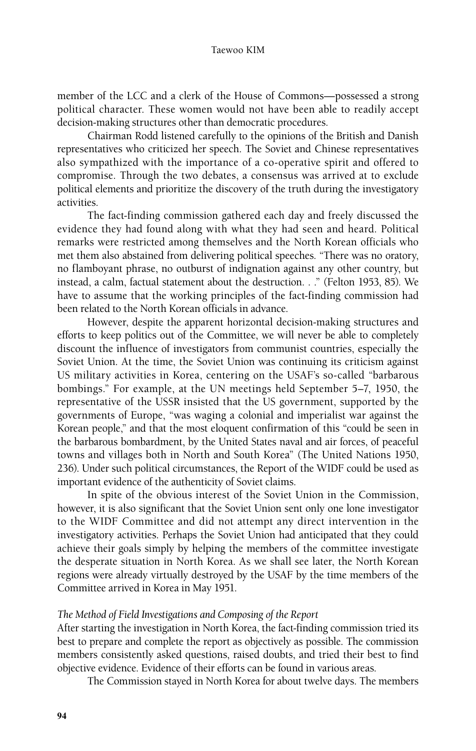member of the LCC and a clerk of the House of Commons—possessed a strong political character. These women would not have been able to readily accept decision-making structures other than democratic procedures.

Chairman Rodd listened carefully to the opinions of the British and Danish representatives who criticized her speech. The Soviet and Chinese representatives also sympathized with the importance of a co-operative spirit and offered to compromise. Through the two debates, a consensus was arrived at to exclude political elements and prioritize the discovery of the truth during the investigatory activities.

The fact-finding commission gathered each day and freely discussed the evidence they had found along with what they had seen and heard. Political remarks were restricted among themselves and the North Korean officials who met them also abstained from delivering political speeches. "There was no oratory, no flamboyant phrase, no outburst of indignation against any other country, but instead, a calm, factual statement about the destruction. . ." (Felton 1953, 85). We have to assume that the working principles of the fact-finding commission had been related to the North Korean officials in advance.

However, despite the apparent horizontal decision-making structures and efforts to keep politics out of the Committee, we will never be able to completely discount the influence of investigators from communist countries, especially the Soviet Union. At the time, the Soviet Union was continuing its criticism against US military activities in Korea, centering on the USAF's so-called "barbarous bombings." For example, at the UN meetings held September 5–7, 1950, the representative of the USSR insisted that the US government, supported by the governments of Europe, "was waging a colonial and imperialist war against the Korean people," and that the most eloquent confirmation of this "could be seen in the barbarous bombardment, by the United States naval and air forces, of peaceful towns and villages both in North and South Korea" (The United Nations 1950, 236). Under such political circumstances, the Report of the WIDF could be used as important evidence of the authenticity of Soviet claims.

In spite of the obvious interest of the Soviet Union in the Commission, however, it is also significant that the Soviet Union sent only one lone investigator to the WIDF Committee and did not attempt any direct intervention in the investigatory activities. Perhaps the Soviet Union had anticipated that they could achieve their goals simply by helping the members of the committee investigate the desperate situation in North Korea. As we shall see later, the North Korean regions were already virtually destroyed by the USAF by the time members of the Committee arrived in Korea in May 1951.

# *The Method of Field Investigations and Composing of the Report*

After starting the investigation in North Korea, the fact-finding commission tried its best to prepare and complete the report as objectively as possible. The commission members consistently asked questions, raised doubts, and tried their best to find objective evidence. Evidence of their efforts can be found in various areas.

The Commission stayed in North Korea for about twelve days. The members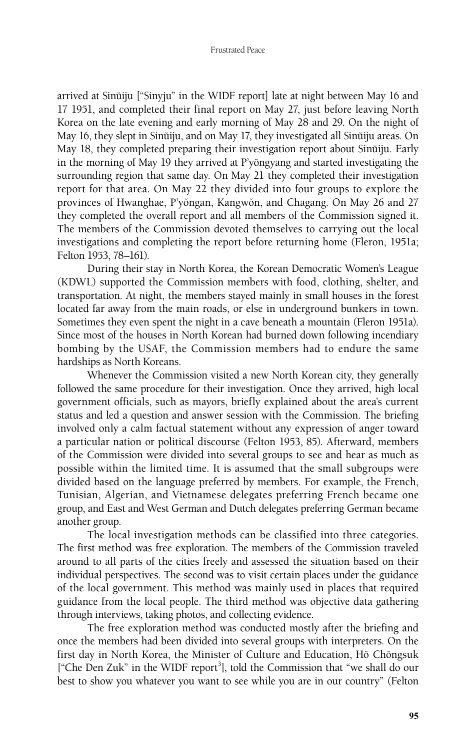arrived at Sinŭiju ["Sinyju" in the WIDF report] late at night between May 16 and 17 1951, and completed their final report on May 27, just before leaving North Korea on the late evening and early morning of May 28 and 29. On the night of May 16, they slept in Sinŭiju, and on May 17, they investigated all Sinŭiju areas. On May 18, they completed preparing their investigation report about Sinŭiju. Early in the morning of May 19 they arrived at P'yŏngyang and started investigating the surrounding region that same day. On May 21 they completed their investigation report for that area. On May 22 they divided into four groups to explore the provinces of Hwanghae, P'yŏngan, Kangwŏn, and Chagang. On May 26 and 27 they completed the overall report and all members of the Commission signed it. The members of the Commission devoted themselves to carrying out the local investigations and completing the report before returning home (Fleron, 1951a; Felton 1953, 78–161).

During their stay in North Korea, the Korean Democratic Women's League (KDWL) supported the Commission members with food, clothing, shelter, and transportation. At night, the members stayed mainly in small houses in the forest located far away from the main roads, or else in underground bunkers in town. Sometimes they even spent the night in a cave beneath a mountain (Fleron 1951a). Since most of the houses in North Korean had burned down following incendiary bombing by the USAF, the Commission members had to endure the same hardships as North Koreans.

Whenever the Commission visited a new North Korean city, they generally followed the same procedure for their investigation. Once they arrived, high local government officials, such as mayors, briefly explained about the area's current status and led a question and answer session with the Commission. The briefing involved only a calm factual statement without any expression of anger toward a particular nation or political discourse (Felton 1953, 85). Afterward, members of the Commission were divided into several groups to see and hear as much as possible within the limited time. It is assumed that the small subgroups were divided based on the language preferred by members. For example, the French, Tunisian, Algerian, and Vietnamese delegates preferring French became one group, and East and West German and Dutch delegates preferring German became another group.

The local investigation methods can be classified into three categories. The first method was free exploration. The members of the Commission traveled around to all parts of the cities freely and assessed the situation based on their individual perspectives. The second was to visit certain places under the guidance of the local government. This method was mainly used in places that required guidance from the local people. The third method was objective data gathering through interviews, taking photos, and collecting evidence.

The free exploration method was conducted mostly after the briefing and once the members had been divided into several groups with interpreters. On the first day in North Korea, the Minister of Culture and Education, Hŏ Chŏngsuk ["Che Den Zuk" in the WIDF report<sup>3</sup>], told the Commission that "we shall do our best to show you whatever you want to see while you are in our country" (Felton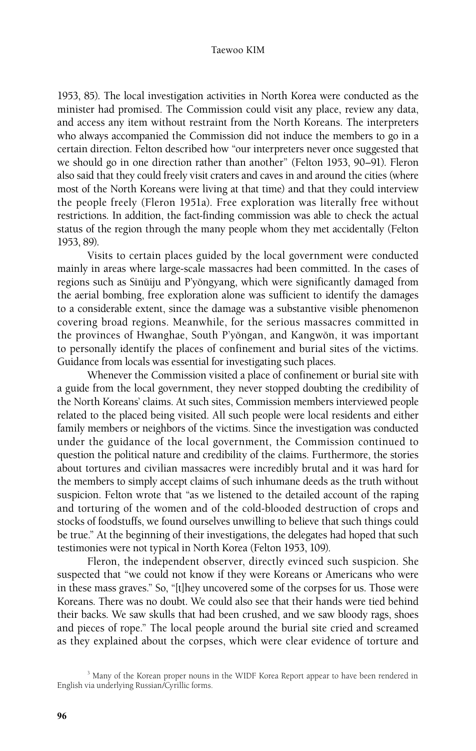1953, 85). The local investigation activities in North Korea were conducted as the minister had promised. The Commission could visit any place, review any data, and access any item without restraint from the North Koreans. The interpreters who always accompanied the Commission did not induce the members to go in a certain direction. Felton described how "our interpreters never once suggested that we should go in one direction rather than another" (Felton 1953, 90–91). Fleron also said that they could freely visit craters and caves in and around the cities (where most of the North Koreans were living at that time) and that they could interview the people freely (Fleron 1951a). Free exploration was literally free without restrictions. In addition, the fact-finding commission was able to check the actual status of the region through the many people whom they met accidentally (Felton 1953, 89).

Visits to certain places guided by the local government were conducted mainly in areas where large-scale massacres had been committed. In the cases of regions such as Sinŭiju and P'yŏngyang, which were significantly damaged from the aerial bombing, free exploration alone was sufficient to identify the damages to a considerable extent, since the damage was a substantive visible phenomenon covering broad regions. Meanwhile, for the serious massacres committed in the provinces of Hwanghae, South P'yŏngan, and Kangwŏn, it was important to personally identify the places of confinement and burial sites of the victims. Guidance from locals was essential for investigating such places.

Whenever the Commission visited a place of confinement or burial site with a guide from the local government, they never stopped doubting the credibility of the North Koreans' claims. At such sites, Commission members interviewed people related to the placed being visited. All such people were local residents and either family members or neighbors of the victims. Since the investigation was conducted under the guidance of the local government, the Commission continued to question the political nature and credibility of the claims. Furthermore, the stories about tortures and civilian massacres were incredibly brutal and it was hard for the members to simply accept claims of such inhumane deeds as the truth without suspicion. Felton wrote that "as we listened to the detailed account of the raping and torturing of the women and of the cold-blooded destruction of crops and stocks of foodstuffs, we found ourselves unwilling to believe that such things could be true." At the beginning of their investigations, the delegates had hoped that such testimonies were not typical in North Korea (Felton 1953, 109).

Fleron, the independent observer, directly evinced such suspicion. She suspected that "we could not know if they were Koreans or Americans who were in these mass graves." So, "[t]hey uncovered some of the corpses for us. Those were Koreans. There was no doubt. We could also see that their hands were tied behind their backs. We saw skulls that had been crushed, and we saw bloody rags, shoes and pieces of rope." The local people around the burial site cried and screamed as they explained about the corpses, which were clear evidence of torture and

<sup>&</sup>lt;sup>3</sup> Many of the Korean proper nouns in the WIDF Korea Report appear to have been rendered in English via underlying Russian/Cyrillic forms.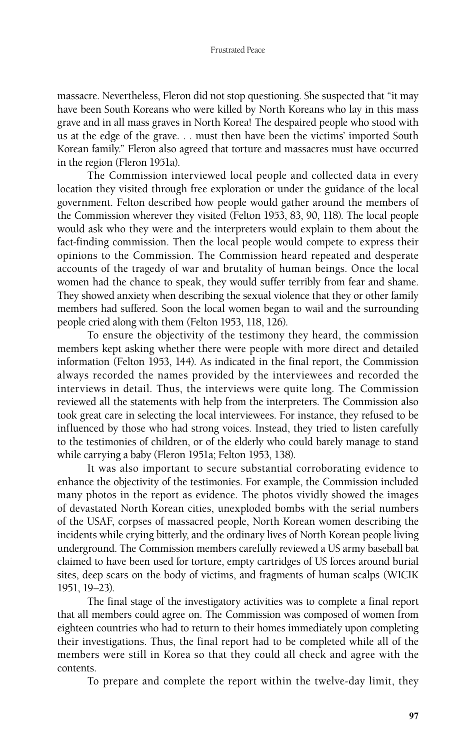massacre. Nevertheless, Fleron did not stop questioning. She suspected that "it may have been South Koreans who were killed by North Koreans who lay in this mass grave and in all mass graves in North Korea! The despaired people who stood with us at the edge of the grave. . . must then have been the victims' imported South Korean family." Fleron also agreed that torture and massacres must have occurred in the region (Fleron 1951a).

The Commission interviewed local people and collected data in every location they visited through free exploration or under the guidance of the local government. Felton described how people would gather around the members of the Commission wherever they visited (Felton 1953, 83, 90, 118). The local people would ask who they were and the interpreters would explain to them about the fact-finding commission. Then the local people would compete to express their opinions to the Commission. The Commission heard repeated and desperate accounts of the tragedy of war and brutality of human beings. Once the local women had the chance to speak, they would suffer terribly from fear and shame. They showed anxiety when describing the sexual violence that they or other family members had suffered. Soon the local women began to wail and the surrounding people cried along with them (Felton 1953, 118, 126).

To ensure the objectivity of the testimony they heard, the commission members kept asking whether there were people with more direct and detailed information (Felton 1953, 144). As indicated in the final report, the Commission always recorded the names provided by the interviewees and recorded the interviews in detail. Thus, the interviews were quite long. The Commission reviewed all the statements with help from the interpreters. The Commission also took great care in selecting the local interviewees. For instance, they refused to be influenced by those who had strong voices. Instead, they tried to listen carefully to the testimonies of children, or of the elderly who could barely manage to stand while carrying a baby (Fleron 1951a; Felton 1953, 138).

It was also important to secure substantial corroborating evidence to enhance the objectivity of the testimonies. For example, the Commission included many photos in the report as evidence. The photos vividly showed the images of devastated North Korean cities, unexploded bombs with the serial numbers of the USAF, corpses of massacred people, North Korean women describing the incidents while crying bitterly, and the ordinary lives of North Korean people living underground. The Commission members carefully reviewed a US army baseball bat claimed to have been used for torture, empty cartridges of US forces around burial sites, deep scars on the body of victims, and fragments of human scalps (WICIK 1951, 19–23).

The final stage of the investigatory activities was to complete a final report that all members could agree on. The Commission was composed of women from eighteen countries who had to return to their homes immediately upon completing their investigations. Thus, the final report had to be completed while all of the members were still in Korea so that they could all check and agree with the contents.

To prepare and complete the report within the twelve-day limit, they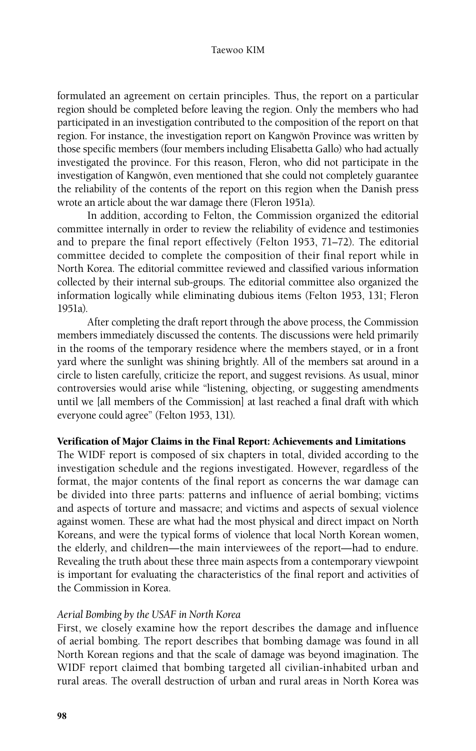formulated an agreement on certain principles. Thus, the report on a particular region should be completed before leaving the region. Only the members who had participated in an investigation contributed to the composition of the report on that region. For instance, the investigation report on Kangwŏn Province was written by those specific members (four members including Elisabetta Gallo) who had actually investigated the province. For this reason, Fleron, who did not participate in the investigation of Kangwŏn, even mentioned that she could not completely guarantee the reliability of the contents of the report on this region when the Danish press wrote an article about the war damage there (Fleron 1951a).

In addition, according to Felton, the Commission organized the editorial committee internally in order to review the reliability of evidence and testimonies and to prepare the final report effectively (Felton 1953, 71–72). The editorial committee decided to complete the composition of their final report while in North Korea. The editorial committee reviewed and classified various information collected by their internal sub-groups. The editorial committee also organized the information logically while eliminating dubious items (Felton 1953, 131; Fleron 1951a).

After completing the draft report through the above process, the Commission members immediately discussed the contents. The discussions were held primarily in the rooms of the temporary residence where the members stayed, or in a front yard where the sunlight was shining brightly. All of the members sat around in a circle to listen carefully, criticize the report, and suggest revisions. As usual, minor controversies would arise while "listening, objecting, or suggesting amendments until we [all members of the Commission] at last reached a final draft with which everyone could agree" (Felton 1953, 131).

# Verification of Major Claims in the Final Report: Achievements and Limitations

The WIDF report is composed of six chapters in total, divided according to the investigation schedule and the regions investigated. However, regardless of the format, the major contents of the final report as concerns the war damage can be divided into three parts: patterns and influence of aerial bombing; victims and aspects of torture and massacre; and victims and aspects of sexual violence against women. These are what had the most physical and direct impact on North Koreans, and were the typical forms of violence that local North Korean women, the elderly, and children—the main interviewees of the report—had to endure. Revealing the truth about these three main aspects from a contemporary viewpoint is important for evaluating the characteristics of the final report and activities of the Commission in Korea.

# *Aerial Bombing by the USAF in North Korea*

First, we closely examine how the report describes the damage and influence of aerial bombing. The report describes that bombing damage was found in all North Korean regions and that the scale of damage was beyond imagination. The WIDF report claimed that bombing targeted all civilian-inhabited urban and rural areas. The overall destruction of urban and rural areas in North Korea was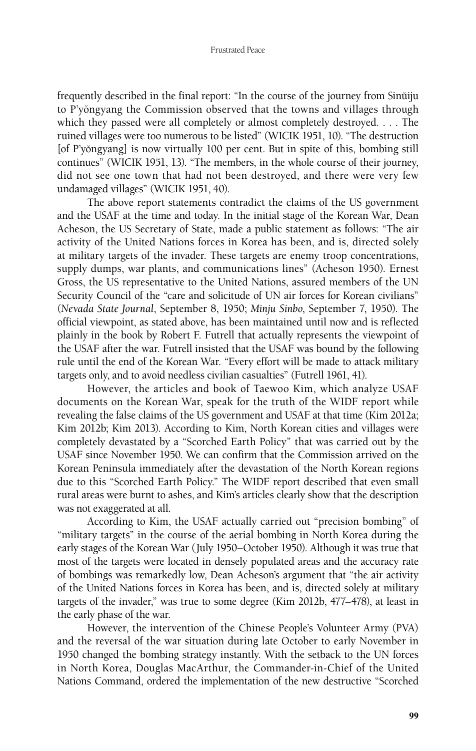frequently described in the final report: "In the course of the journey from Sinŭiju to P'yongyang the Commission observed that the towns and villages through which they passed were all completely or almost completely destroyed. . . . The ruined villages were too numerous to be listed" (WICIK 1951, 10). "The destruction [of P'yŏngyang] is now virtually 100 per cent. But in spite of this, bombing still continues" (WICIK 1951, 13). "The members, in the whole course of their journey, did not see one town that had not been destroyed, and there were very few undamaged villages" (WICIK 1951, 40).

The above report statements contradict the claims of the US government and the USAF at the time and today. In the initial stage of the Korean War, Dean Acheson, the US Secretary of State, made a public statement as follows: "The air activity of the United Nations forces in Korea has been, and is, directed solely at military targets of the invader. These targets are enemy troop concentrations, supply dumps, war plants, and communications lines" (Acheson 1950). Ernest Gross, the US representative to the United Nations, assured members of the UN Security Council of the "care and solicitude of UN air forces for Korean civilians" (*Nevada State Journal*, September 8, 1950; *Minju Sinbo*, September 7, 1950). The official viewpoint, as stated above, has been maintained until now and is reflected plainly in the book by Robert F. Futrell that actually represents the viewpoint of the USAF after the war. Futrell insisted that the USAF was bound by the following rule until the end of the Korean War. "Every effort will be made to attack military targets only, and to avoid needless civilian casualties" (Futrell 1961, 41).

However, the articles and book of Taewoo Kim, which analyze USAF documents on the Korean War, speak for the truth of the WIDF report while revealing the false claims of the US government and USAF at that time (Kim 2012a; Kim 2012b; Kim 2013). According to Kim, North Korean cities and villages were completely devastated by a "Scorched Earth Policy" that was carried out by the USAF since November 1950. We can confirm that the Commission arrived on the Korean Peninsula immediately after the devastation of the North Korean regions due to this "Scorched Earth Policy." The WIDF report described that even small rural areas were burnt to ashes, and Kim's articles clearly show that the description was not exaggerated at all.

According to Kim, the USAF actually carried out "precision bombing" of "military targets" in the course of the aerial bombing in North Korea during the early stages of the Korean War (July 1950–October 1950). Although it was true that most of the targets were located in densely populated areas and the accuracy rate of bombings was remarkedly low, Dean Acheson's argument that "the air activity of the United Nations forces in Korea has been, and is, directed solely at military targets of the invader," was true to some degree (Kim 2012b, 477–478), at least in the early phase of the war.

However, the intervention of the Chinese People's Volunteer Army (PVA) and the reversal of the war situation during late October to early November in 1950 changed the bombing strategy instantly. With the setback to the UN forces in North Korea, Douglas MacArthur, the Commander-in-Chief of the United Nations Command, ordered the implementation of the new destructive "Scorched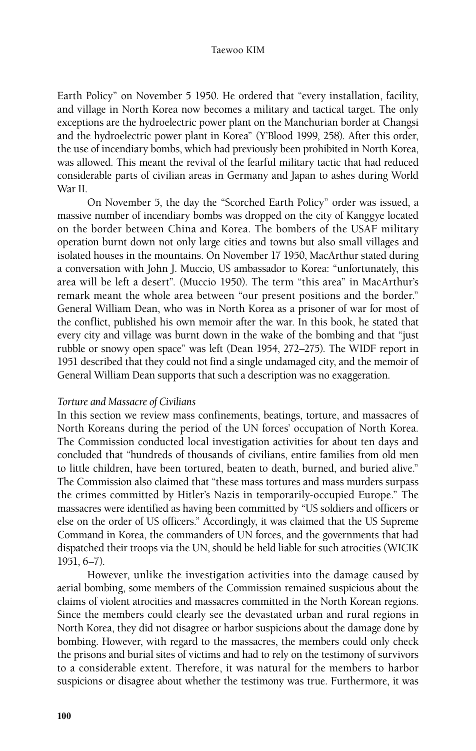Earth Policy" on November 5 1950. He ordered that "every installation, facility, and village in North Korea now becomes a military and tactical target. The only exceptions are the hydroelectric power plant on the Manchurian border at Changsi and the hydroelectric power plant in Korea" (Y'Blood 1999, 258). After this order, the use of incendiary bombs, which had previously been prohibited in North Korea, was allowed. This meant the revival of the fearful military tactic that had reduced considerable parts of civilian areas in Germany and Japan to ashes during World War II.

On November 5, the day the "Scorched Earth Policy" order was issued, a massive number of incendiary bombs was dropped on the city of Kanggye located on the border between China and Korea. The bombers of the USAF military operation burnt down not only large cities and towns but also small villages and isolated houses in the mountains. On November 17 1950, MacArthur stated during a conversation with John J. Muccio, US ambassador to Korea: "unfortunately, this area will be left a desert". (Muccio 1950). The term "this area" in MacArthur's remark meant the whole area between "our present positions and the border." General William Dean, who was in North Korea as a prisoner of war for most of the conflict, published his own memoir after the war. In this book, he stated that every city and village was burnt down in the wake of the bombing and that "just rubble or snowy open space" was left (Dean 1954, 272–275). The WIDF report in 1951 described that they could not find a single undamaged city, and the memoir of General William Dean supports that such a description was no exaggeration.

# *Torture and Massacre of Civilians*

In this section we review mass confinements, beatings, torture, and massacres of North Koreans during the period of the UN forces' occupation of North Korea. The Commission conducted local investigation activities for about ten days and concluded that "hundreds of thousands of civilians, entire families from old men to little children, have been tortured, beaten to death, burned, and buried alive." The Commission also claimed that "these mass tortures and mass murders surpass the crimes committed by Hitler's Nazis in temporarily-occupied Europe." The massacres were identified as having been committed by "US soldiers and officers or else on the order of US officers." Accordingly, it was claimed that the US Supreme Command in Korea, the commanders of UN forces, and the governments that had dispatched their troops via the UN, should be held liable for such atrocities (WICIK 1951, 6–7).

However, unlike the investigation activities into the damage caused by aerial bombing, some members of the Commission remained suspicious about the claims of violent atrocities and massacres committed in the North Korean regions. Since the members could clearly see the devastated urban and rural regions in North Korea, they did not disagree or harbor suspicions about the damage done by bombing. However, with regard to the massacres, the members could only check the prisons and burial sites of victims and had to rely on the testimony of survivors to a considerable extent. Therefore, it was natural for the members to harbor suspicions or disagree about whether the testimony was true. Furthermore, it was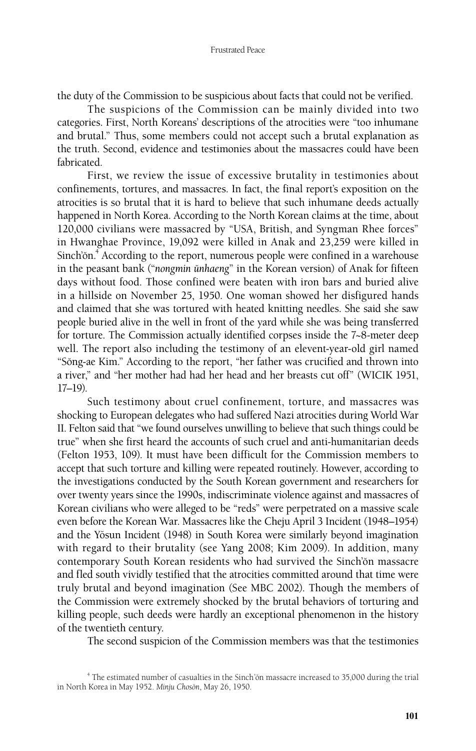the duty of the Commission to be suspicious about facts that could not be verified.

The suspicions of the Commission can be mainly divided into two categories. First, North Koreans' descriptions of the atrocities were "too inhumane and brutal." Thus, some members could not accept such a brutal explanation as the truth. Second, evidence and testimonies about the massacres could have been fabricated.

First, we review the issue of excessive brutality in testimonies about confinements, tortures, and massacres. In fact, the final report's exposition on the atrocities is so brutal that it is hard to believe that such inhumane deeds actually happened in North Korea. According to the North Korean claims at the time, about 120,000 civilians were massacred by "USA, British, and Syngman Rhee forces" in Hwanghae Province, 19,092 were killed in Anak and 23,259 were killed in Sinch'ŏn.<sup>4</sup> According to the report, numerous people were confined in a warehouse in the peasant bank ("*nongmin unhaeng*" in the Korean version) of Anak for fifteen days without food. Those confined were beaten with iron bars and buried alive in a hillside on November 25, 1950. One woman showed her disfigured hands and claimed that she was tortured with heated knitting needles. She said she saw people buried alive in the well in front of the yard while she was being transferred for torture. The Commission actually identified corpses inside the 7~8-meter deep well. The report also including the testimony of an elevent-year-old girl named "Sŏng-ae Kim." According to the report, "her father was crucified and thrown into a river," and "her mother had had her head and her breasts cut off" (WICIK 1951, 17–19).

Such testimony about cruel confinement, torture, and massacres was shocking to European delegates who had suffered Nazi atrocities during World War II. Felton said that "we found ourselves unwilling to believe that such things could be true" when she first heard the accounts of such cruel and anti-humanitarian deeds (Felton 1953, 109). It must have been difficult for the Commission members to accept that such torture and killing were repeated routinely. However, according to the investigations conducted by the South Korean government and researchers for over twenty years since the 1990s, indiscriminate violence against and massacres of Korean civilians who were alleged to be "reds" were perpetrated on a massive scale even before the Korean War. Massacres like the Cheju April 3 Incident (1948–1954) and the Yŏsun Incident (1948) in South Korea were similarly beyond imagination with regard to their brutality (see Yang 2008; Kim 2009). In addition, many contemporary South Korean residents who had survived the Sinch'ŏn massacre and fled south vividly testified that the atrocities committed around that time were truly brutal and beyond imagination (See MBC 2002). Though the members of the Commission were extremely shocked by the brutal behaviors of torturing and killing people, such deeds were hardly an exceptional phenomenon in the history of the twentieth century.

The second suspicion of the Commission members was that the testimonies

<sup>&</sup>lt;sup>4</sup> The estimated number of casualties in the Sinch'ŏn massacre increased to 35,000 during the trial in North Korea in May 1952. *Minju Choson*, May 26, 1950.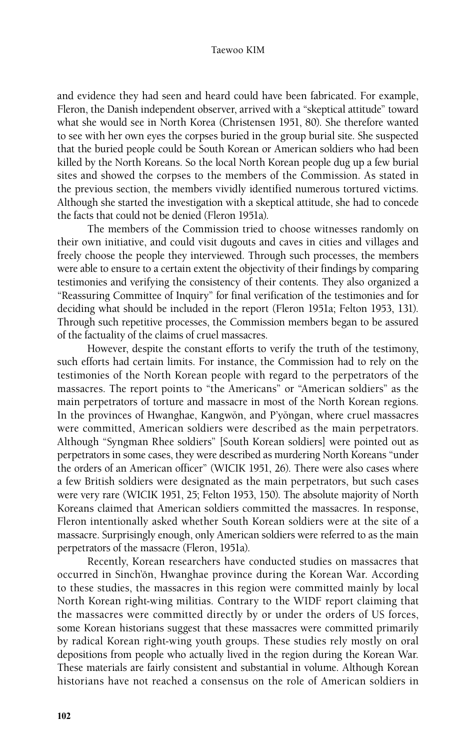and evidence they had seen and heard could have been fabricated. For example, Fleron, the Danish independent observer, arrived with a "skeptical attitude" toward what she would see in North Korea (Christensen 1951, 80). She therefore wanted to see with her own eyes the corpses buried in the group burial site. She suspected that the buried people could be South Korean or American soldiers who had been killed by the North Koreans. So the local North Korean people dug up a few burial sites and showed the corpses to the members of the Commission. As stated in the previous section, the members vividly identified numerous tortured victims. Although she started the investigation with a skeptical attitude, she had to concede the facts that could not be denied (Fleron 1951a).

The members of the Commission tried to choose witnesses randomly on their own initiative, and could visit dugouts and caves in cities and villages and freely choose the people they interviewed. Through such processes, the members were able to ensure to a certain extent the objectivity of their findings by comparing testimonies and verifying the consistency of their contents. They also organized a "Reassuring Committee of Inquiry" for final verification of the testimonies and for deciding what should be included in the report (Fleron 1951a; Felton 1953, 131). Through such repetitive processes, the Commission members began to be assured of the factuality of the claims of cruel massacres.

However, despite the constant efforts to verify the truth of the testimony, such efforts had certain limits. For instance, the Commission had to rely on the testimonies of the North Korean people with regard to the perpetrators of the massacres. The report points to "the Americans" or "American soldiers" as the main perpetrators of torture and massacre in most of the North Korean regions. In the provinces of Hwanghae, Kangwŏn, and P'yŏngan, where cruel massacres were committed, American soldiers were described as the main perpetrators. Although "Syngman Rhee soldiers" [South Korean soldiers] were pointed out as perpetrators in some cases, they were described as murdering North Koreans "under the orders of an American officer" (WICIK 1951, 26). There were also cases where a few British soldiers were designated as the main perpetrators, but such cases were very rare (WICIK 1951, 25; Felton 1953, 150). The absolute majority of North Koreans claimed that American soldiers committed the massacres. In response, Fleron intentionally asked whether South Korean soldiers were at the site of a massacre. Surprisingly enough, only American soldiers were referred to as the main perpetrators of the massacre (Fleron, 1951a).

Recently, Korean researchers have conducted studies on massacres that occurred in Sinch'ŏn, Hwanghae province during the Korean War. According to these studies, the massacres in this region were committed mainly by local North Korean right-wing militias. Contrary to the WIDF report claiming that the massacres were committed directly by or under the orders of US forces, some Korean historians suggest that these massacres were committed primarily by radical Korean right-wing youth groups. These studies rely mostly on oral depositions from people who actually lived in the region during the Korean War. These materials are fairly consistent and substantial in volume. Although Korean historians have not reached a consensus on the role of American soldiers in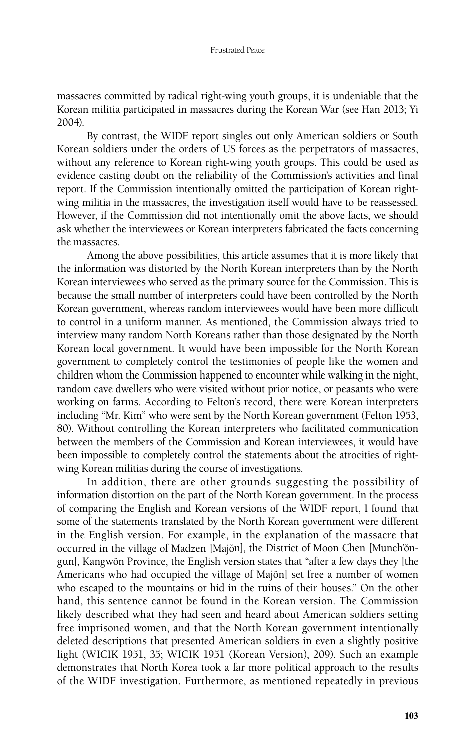massacres committed by radical right-wing youth groups, it is undeniable that the Korean militia participated in massacres during the Korean War (see Han 2013; Yi 2004).

By contrast, the WIDF report singles out only American soldiers or South Korean soldiers under the orders of US forces as the perpetrators of massacres, without any reference to Korean right-wing youth groups. This could be used as evidence casting doubt on the reliability of the Commission's activities and final report. If the Commission intentionally omitted the participation of Korean rightwing militia in the massacres, the investigation itself would have to be reassessed. However, if the Commission did not intentionally omit the above facts, we should ask whether the interviewees or Korean interpreters fabricated the facts concerning the massacres.

Among the above possibilities, this article assumes that it is more likely that the information was distorted by the North Korean interpreters than by the North Korean interviewees who served as the primary source for the Commission. This is because the small number of interpreters could have been controlled by the North Korean government, whereas random interviewees would have been more difficult to control in a uniform manner. As mentioned, the Commission always tried to interview many random North Koreans rather than those designated by the North Korean local government. It would have been impossible for the North Korean government to completely control the testimonies of people like the women and children whom the Commission happened to encounter while walking in the night, random cave dwellers who were visited without prior notice, or peasants who were working on farms. According to Felton's record, there were Korean interpreters including "Mr. Kim" who were sent by the North Korean government (Felton 1953, 80). Without controlling the Korean interpreters who facilitated communication between the members of the Commission and Korean interviewees, it would have been impossible to completely control the statements about the atrocities of rightwing Korean militias during the course of investigations.

In addition, there are other grounds suggesting the possibility of information distortion on the part of the North Korean government. In the process of comparing the English and Korean versions of the WIDF report, I found that some of the statements translated by the North Korean government were different in the English version. For example, in the explanation of the massacre that occurred in the village of Madzen [Majŏn], the District of Moon Chen [Munch'ŏngun], Kangwŏn Province, the English version states that "after a few days they [the Americans who had occupied the village of Majon] set free a number of women who escaped to the mountains or hid in the ruins of their houses." On the other hand, this sentence cannot be found in the Korean version. The Commission likely described what they had seen and heard about American soldiers setting free imprisoned women, and that the North Korean government intentionally deleted descriptions that presented American soldiers in even a slightly positive light (WICIK 1951, 35; WICIK 1951 (Korean Version), 209). Such an example demonstrates that North Korea took a far more political approach to the results of the WIDF investigation. Furthermore, as mentioned repeatedly in previous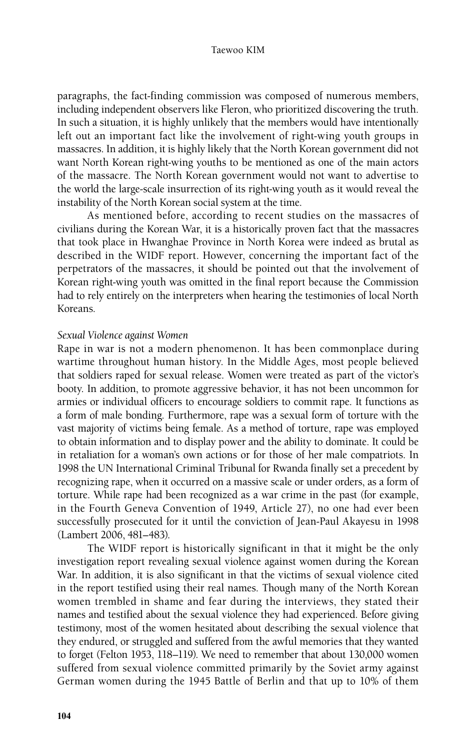paragraphs, the fact-finding commission was composed of numerous members, including independent observers like Fleron, who prioritized discovering the truth. In such a situation, it is highly unlikely that the members would have intentionally left out an important fact like the involvement of right-wing youth groups in massacres. In addition, it is highly likely that the North Korean government did not want North Korean right-wing youths to be mentioned as one of the main actors of the massacre. The North Korean government would not want to advertise to the world the large-scale insurrection of its right-wing youth as it would reveal the instability of the North Korean social system at the time.

As mentioned before, according to recent studies on the massacres of civilians during the Korean War, it is a historically proven fact that the massacres that took place in Hwanghae Province in North Korea were indeed as brutal as described in the WIDF report. However, concerning the important fact of the perpetrators of the massacres, it should be pointed out that the involvement of Korean right-wing youth was omitted in the final report because the Commission had to rely entirely on the interpreters when hearing the testimonies of local North Koreans.

### *Sexual Violence against Women*

Rape in war is not a modern phenomenon. It has been commonplace during wartime throughout human history. In the Middle Ages, most people believed that soldiers raped for sexual release. Women were treated as part of the victor's booty. In addition, to promote aggressive behavior, it has not been uncommon for armies or individual officers to encourage soldiers to commit rape. It functions as a form of male bonding. Furthermore, rape was a sexual form of torture with the vast majority of victims being female. As a method of torture, rape was employed to obtain information and to display power and the ability to dominate. It could be in retaliation for a woman's own actions or for those of her male compatriots. In 1998 the UN International Criminal Tribunal for Rwanda finally set a precedent by recognizing rape, when it occurred on a massive scale or under orders, as a form of torture. While rape had been recognized as a war crime in the past (for example, in the Fourth Geneva Convention of 1949, Article 27), no one had ever been successfully prosecuted for it until the conviction of Jean-Paul Akayesu in 1998 (Lambert 2006, 481–483).

The WIDF report is historically significant in that it might be the only investigation report revealing sexual violence against women during the Korean War. In addition, it is also significant in that the victims of sexual violence cited in the report testified using their real names. Though many of the North Korean women trembled in shame and fear during the interviews, they stated their names and testified about the sexual violence they had experienced. Before giving testimony, most of the women hesitated about describing the sexual violence that they endured, or struggled and suffered from the awful memories that they wanted to forget (Felton 1953, 118–119). We need to remember that about 130,000 women suffered from sexual violence committed primarily by the Soviet army against German women during the 1945 Battle of Berlin and that up to 10% of them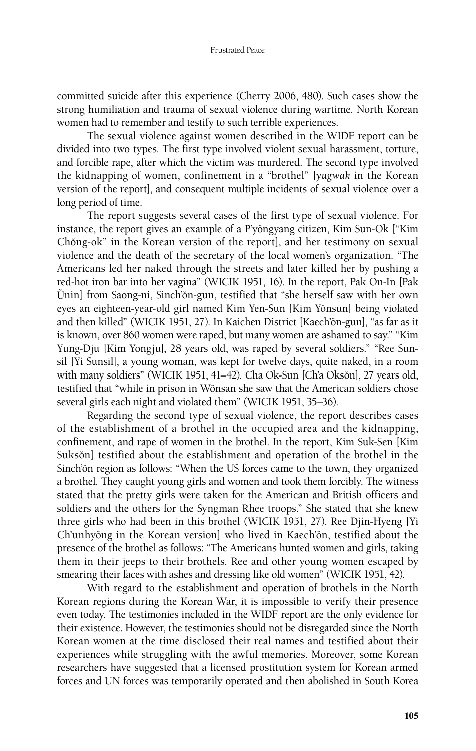committed suicide after this experience (Cherry 2006, 480). Such cases show the strong humiliation and trauma of sexual violence during wartime. North Korean women had to remember and testify to such terrible experiences.

The sexual violence against women described in the WIDF report can be divided into two types. The first type involved violent sexual harassment, torture, and forcible rape, after which the victim was murdered. The second type involved the kidnapping of women, confinement in a "brothel" [*yugwak* in the Korean version of the report], and consequent multiple incidents of sexual violence over a long period of time.

The report suggests several cases of the first type of sexual violence. For instance, the report gives an example of a P'yŏngyang citizen, Kim Sun-Ok ["Kim Chŏng-ok" in the Korean version of the report], and her testimony on sexual violence and the death of the secretary of the local women's organization. "The Americans led her naked through the streets and later killed her by pushing a red-hot iron bar into her vagina" (WICIK 1951, 16). In the report, Pak On-In [Pak Unin] from Saong-ni, Sinch'ŏn-gun, testified that "she herself saw with her own eyes an eighteen-year-old girl named Kim Yen-Sun [Kim Yŏnsun] being violated and then killed" (WICIK 1951, 27). In Kaichen District [Kaech'ŏn-gun], "as far as it is known, over 860 women were raped, but many women are ashamed to say." "Kim Yung-Dju [Kim Yongju], 28 years old, was raped by several soldiers." "Ree Sunsil [Yi Sunsil], a young woman, was kept for twelve days, quite naked, in a room with many soldiers" (WICIK 1951, 41-42). Cha Ok-Sun [Ch'a Oksŏn], 27 years old, testified that "while in prison in Wŏnsan she saw that the American soldiers chose several girls each night and violated them" (WICIK 1951, 35–36).

Regarding the second type of sexual violence, the report describes cases of the establishment of a brothel in the occupied area and the kidnapping, confinement, and rape of women in the brothel. In the report, Kim Suk-Sen [Kim Sukson] testified about the establishment and operation of the brothel in the Sinch'on region as follows: "When the US forces came to the town, they organized a brothel. They caught young girls and women and took them forcibly. The witness stated that the pretty girls were taken for the American and British officers and soldiers and the others for the Syngman Rhee troops." She stated that she knew three girls who had been in this brothel (WICIK 1951, 27). Ree Djin-Hyeng [Yi Ch'unhyŏng in the Korean version] who lived in Kaech'ŏn, testified about the presence of the brothel as follows: "The Americans hunted women and girls, taking them in their jeeps to their brothels. Ree and other young women escaped by smearing their faces with ashes and dressing like old women" (WICIK 1951, 42).

With regard to the establishment and operation of brothels in the North Korean regions during the Korean War, it is impossible to verify their presence even today. The testimonies included in the WIDF report are the only evidence for their existence. However, the testimonies should not be disregarded since the North Korean women at the time disclosed their real names and testified about their experiences while struggling with the awful memories. Moreover, some Korean researchers have suggested that a licensed prostitution system for Korean armed forces and UN forces was temporarily operated and then abolished in South Korea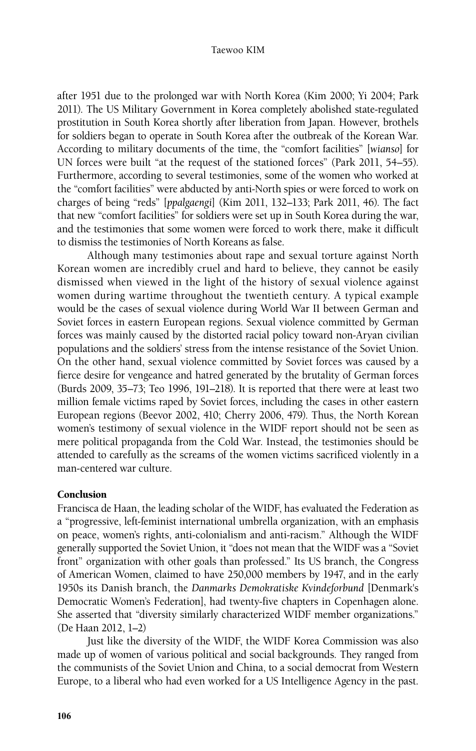after 1951 due to the prolonged war with North Korea (Kim 2000; Yi 2004; Park 2011). The US Military Government in Korea completely abolished state-regulated prostitution in South Korea shortly after liberation from Japan. However, brothels for soldiers began to operate in South Korea after the outbreak of the Korean War. According to military documents of the time, the "comfort facilities" [*wianso*] for UN forces were built "at the request of the stationed forces" (Park 2011, 54–55). Furthermore, according to several testimonies, some of the women who worked at the "comfort facilities" were abducted by anti-North spies or were forced to work on charges of being "reds" [*ppalgaengi*] (Kim 2011, 132–133; Park 2011, 46). The fact that new "comfort facilities" for soldiers were set up in South Korea during the war, and the testimonies that some women were forced to work there, make it difficult to dismiss the testimonies of North Koreans as false.

Although many testimonies about rape and sexual torture against North Korean women are incredibly cruel and hard to believe, they cannot be easily dismissed when viewed in the light of the history of sexual violence against women during wartime throughout the twentieth century. A typical example would be the cases of sexual violence during World War II between German and Soviet forces in eastern European regions. Sexual violence committed by German forces was mainly caused by the distorted racial policy toward non-Aryan civilian populations and the soldiers' stress from the intense resistance of the Soviet Union. On the other hand, sexual violence committed by Soviet forces was caused by a fierce desire for vengeance and hatred generated by the brutality of German forces (Burds 2009, 35–73; Teo 1996, 191–218). It is reported that there were at least two million female victims raped by Soviet forces, including the cases in other eastern European regions (Beevor 2002, 410; Cherry 2006, 479). Thus, the North Korean women's testimony of sexual violence in the WIDF report should not be seen as mere political propaganda from the Cold War. Instead, the testimonies should be attended to carefully as the screams of the women victims sacrificed violently in a man-centered war culture.

# **Conclusion**

Francisca de Haan, the leading scholar of the WIDF, has evaluated the Federation as a "progressive, left-feminist international umbrella organization, with an emphasis on peace, women's rights, anti-colonialism and anti-racism." Although the WIDF generally supported the Soviet Union, it "does not mean that the WIDF was a "Soviet front" organization with other goals than professed." Its US branch, the Congress of American Women, claimed to have 250,000 members by 1947, and in the early 1950s its Danish branch, the *Danmarks Demokratiske Kvindeforbund* [Denmark's Democratic Women's Federation], had twenty-five chapters in Copenhagen alone. She asserted that "diversity similarly characterized WIDF member organizations." (De Haan 2012, 1–2)

Just like the diversity of the WIDF, the WIDF Korea Commission was also made up of women of various political and social backgrounds. They ranged from the communists of the Soviet Union and China, to a social democrat from Western Europe, to a liberal who had even worked for a US Intelligence Agency in the past.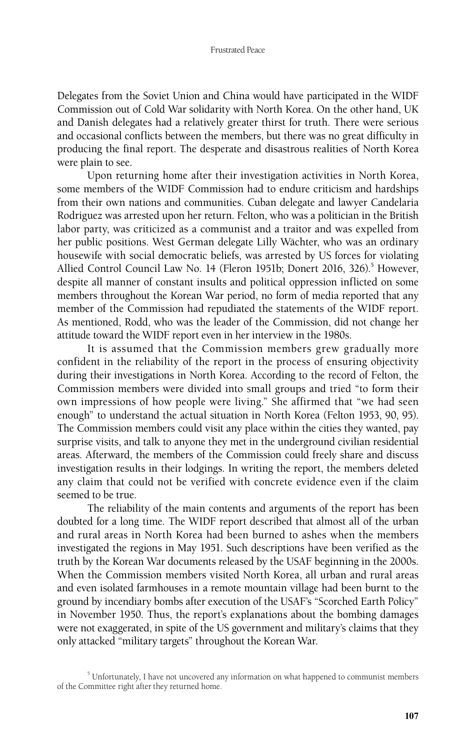Delegates from the Soviet Union and China would have participated in the WIDF Commission out of Cold War solidarity with North Korea. On the other hand, UK and Danish delegates had a relatively greater thirst for truth. There were serious and occasional conflicts between the members, but there was no great difficulty in producing the final report. The desperate and disastrous realities of North Korea were plain to see.

Upon returning home after their investigation activities in North Korea, some members of the WIDF Commission had to endure criticism and hardships from their own nations and communities. Cuban delegate and lawyer Candelaria Rodriguez was arrested upon her return. Felton, who was a politician in the British labor party, was criticized as a communist and a traitor and was expelled from her public positions. West German delegate Lilly Wächter, who was an ordinary housewife with social democratic beliefs, was arrested by US forces for violating Allied Control Council Law No. 14 (Fleron 1951b; Donert 2016, 326).<sup>5</sup> However, despite all manner of constant insults and political oppression inflicted on some members throughout the Korean War period, no form of media reported that any member of the Commission had repudiated the statements of the WIDF report. As mentioned, Rodd, who was the leader of the Commission, did not change her attitude toward the WIDF report even in her interview in the 1980s.

It is assumed that the Commission members grew gradually more confident in the reliability of the report in the process of ensuring objectivity during their investigations in North Korea. According to the record of Felton, the Commission members were divided into small groups and tried "to form their own impressions of how people were living." She affirmed that "we had seen enough" to understand the actual situation in North Korea (Felton 1953, 90, 95). The Commission members could visit any place within the cities they wanted, pay surprise visits, and talk to anyone they met in the underground civilian residential areas. Afterward, the members of the Commission could freely share and discuss investigation results in their lodgings. In writing the report, the members deleted any claim that could not be verified with concrete evidence even if the claim seemed to be true.

The reliability of the main contents and arguments of the report has been doubted for a long time. The WIDF report described that almost all of the urban and rural areas in North Korea had been burned to ashes when the members investigated the regions in May 1951. Such descriptions have been verified as the truth by the Korean War documents released by the USAF beginning in the 2000s. When the Commission members visited North Korea, all urban and rural areas and even isolated farmhouses in a remote mountain village had been burnt to the ground by incendiary bombs after execution of the USAF's "Scorched Earth Policy" in November 1950. Thus, the report's explanations about the bombing damages were not exaggerated, in spite of the US government and military's claims that they only attacked "military targets" throughout the Korean War.

<sup>&</sup>lt;sup>5</sup> Unfortunately, I have not uncovered any information on what happened to communist members of the Committee right after they returned home.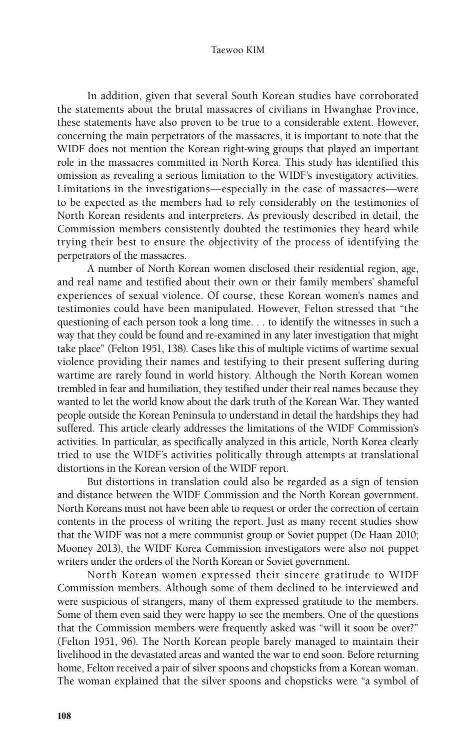In addition, given that several South Korean studies have corroborated the statements about the brutal massacres of civilians in Hwanghae Province, these statements have also proven to be true to a considerable extent. However, concerning the main perpetrators of the massacres, it is important to note that the WIDF does not mention the Korean right-wing groups that played an important role in the massacres committed in North Korea. This study has identified this omission as revealing a serious limitation to the WIDF's investigatory activities. Limitations in the investigations—especially in the case of massacres—were to be expected as the members had to rely considerably on the testimonies of North Korean residents and interpreters. As previously described in detail, the Commission members consistently doubted the testimonies they heard while trying their best to ensure the objectivity of the process of identifying the perpetrators of the massacres.

A number of North Korean women disclosed their residential region, age, and real name and testified about their own or their family members' shameful experiences of sexual violence. Of course, these Korean women's names and testimonies could have been manipulated. However, Felton stressed that "the questioning of each person took a long time. . . to identify the witnesses in such a way that they could be found and re-examined in any later investigation that might take place" (Felton 1951, 138). Cases like this of multiple victims of wartime sexual violence providing their names and testifying to their present suffering during wartime are rarely found in world history. Although the North Korean women trembled in fear and humiliation, they testified under their real names because they wanted to let the world know about the dark truth of the Korean War. They wanted people outside the Korean Peninsula to understand in detail the hardships they had suffered. This article clearly addresses the limitations of the WIDF Commission's activities. In particular, as specifically analyzed in this article, North Korea clearly tried to use the WIDF's activities politically through attempts at translational distortions in the Korean version of the WIDF report.

But distortions in translation could also be regarded as a sign of tension and distance between the WIDF Commission and the North Korean government. North Koreans must not have been able to request or order the correction of certain contents in the process of writing the report. Just as many recent studies show that the WIDF was not a mere communist group or Soviet puppet (De Haan 2010; Mooney 2013), the WIDF Korea Commission investigators were also not puppet writers under the orders of the North Korean or Soviet government.

North Korean women expressed their sincere gratitude to WIDF Commission members. Although some of them declined to be interviewed and were suspicious of strangers, many of them expressed gratitude to the members. Some of them even said they were happy to see the members. One of the questions that the Commission members were frequently asked was "will it soon be over?" (Felton 1951, 96). The North Korean people barely managed to maintain their livelihood in the devastated areas and wanted the war to end soon. Before returning home, Felton received a pair of silver spoons and chopsticks from a Korean woman. The woman explained that the silver spoons and chopsticks were "a symbol of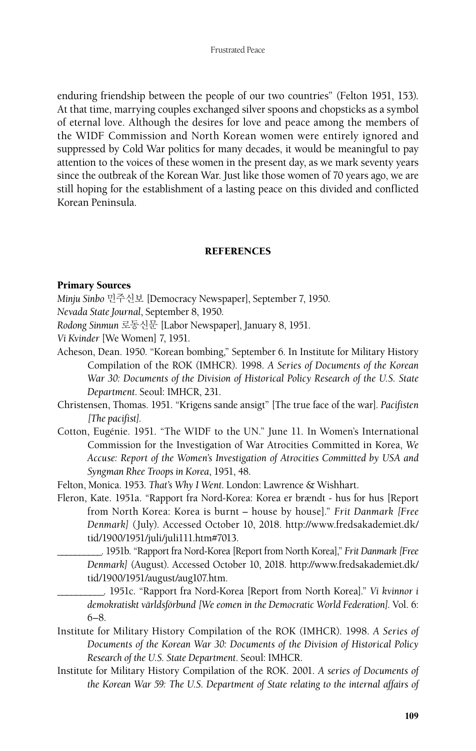enduring friendship between the people of our two countries" (Felton 1951, 153). At that time, marrying couples exchanged silver spoons and chopsticks as a symbol of eternal love. Although the desires for love and peace among the members of the WIDF Commission and North Korean women were entirely ignored and suppressed by Cold War politics for many decades, it would be meaningful to pay attention to the voices of these women in the present day, as we mark seventy years since the outbreak of the Korean War. Just like those women of 70 years ago, we are still hoping for the establishment of a lasting peace on this divided and conflicted Korean Peninsula.

### **REFERENCES**

### Primary Sources

- *Minju Sinbo* 민주신보 [Democracy Newspaper], September 7, 1950.
- *Nevada State Journal*, September 8, 1950.
- *Rodong Sinmun* 로동신문 [Labor Newspaper], January 8, 1951.
- *Vi Kvinder* [We Women] 7, 1951.
- Acheson, Dean. 1950. "Korean bombing," September 6. In Institute for Military History Compilation of the ROK (IMHCR). 1998. *A Series of Documents of the Korean War 30: Documents of the Division of Historical Policy Research of the U.S. State Department*. Seoul: IMHCR, 231.
- Christensen, Thomas. 1951. "Krigens sande ansigt" [The true face of the war]. *Pacifisten [The pacifist]*.
- Cotton, Eugénie. 1951. "The WIDF to the UN." June 11. In Women's International Commission for the Investigation of War Atrocities Committed in Korea, *We Accuse: Report of the Women's Investigation of Atrocities Committed by USA and Syngman Rhee Troops in Korea*, 1951, 48.
- Felton, Monica. 1953. *That's Why I Went*. London: Lawrence & Wishhart.
- Fleron, Kate. 1951a. "Rapport fra Nord-Korea: Korea er brændt hus for hus [Report from North Korea: Korea is burnt – house by house]." *Frit Danmark [Free Denmark]* (July). Accessed October 10, 2018. http://www.fredsakademiet.dk/ tid/1900/1951/juli/juli111.htm#7013.
	- \_\_\_\_\_\_\_\_\_\_. 1951b. "Rapport fra Nord-Korea [Report from North Korea]," *Frit Danmark [Free Denmark]* (August). Accessed October 10, 2018. http://www.fredsakademiet.dk/ tid/1900/1951/august/aug107.htm.
	- \_\_\_\_\_\_\_\_\_\_. 1951c. "Rapport fra Nord-Korea [Report from North Korea]." *Vi kvinnor i demokratiskt världsförbund [We eomen in the Democratic World Federation]*. Vol. 6: 6–8.
- Institute for Military History Compilation of the ROK (IMHCR). 1998. *A Series of Documents of the Korean War 30: Documents of the Division of Historical Policy Research of the U.S. State Department*. Seoul: IMHCR.
- Institute for Military History Compilation of the ROK. 2001. *A series of Documents of the Korean War 59: The U.S. Department of State relating to the internal affairs of*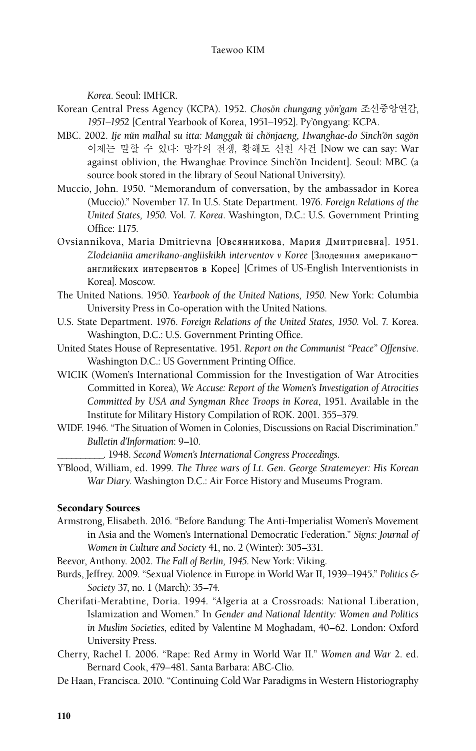*Korea*. Seoul: IMHCR.

- Korean Central Press Agency (KCPA). 1952. *Chosŏn chungang yŏn'gam 조선중앙연감*, 1951–1952 [Central Yearbook of Korea, 1951–1952]. Py'ongyang: KCPA.
- MBC. 2002. *Ije nŭn malhal su itta: Manggak ŭi chŏnjaeng, Hwanghae-do Sinch'ŏn sagŏn* 이제는 말할 수 있다: 망각의 전쟁, 황해도 신천 사건 [Now we can say: War against oblivion, the Hwanghae Province Sinch'ŏn Incident]. Seoul: MBC (a source book stored in the library of Seoul National University).
- Muccio, John. 1950. "Memorandum of conversation, by the ambassador in Korea (Muccio)." November 17. In U.S. State Department. 1976. *Foreign Relations of the United States, 1950*. Vol. 7. *Korea*. Washington, D.C.: U.S. Government Printing Office: 1175.
- Ovsiannikova, Maria Dmitrievna [Овсянникова, Мария Дмитриевна]. 1951. *Zlodeianiia amerikano-angliiskikh interventov v Koree* [Злодеяния американоанглийских интервентов в Корее] [Crimes of US-English Interventionists in Korea]. Moscow.
- The United Nations. 1950. *Yearbook of the United Nations, 1950*. New York: Columbia University Press in Co-operation with the United Nations.
- U.S. State Department. 1976. *Foreign Relations of the United States, 1950*. Vol. 7. Korea. Washington, D.C.: U.S. Government Printing Office.
- United States House of Representative. 1951. *Report on the Communist "Peace" Offensive*. Washington D.C.: US Government Printing Office.
- WICIK (Women's International Commission for the Investigation of War Atrocities Committed in Korea), *We Accuse: Report of the Women's Investigation of Atrocities Committed by USA and Syngman Rhee Troops in Korea*, 1951. Available in the Institute for Military History Compilation of ROK. 2001. 355–379.
- WIDF. 1946. "The Situation of Women in Colonies, Discussions on Racial Discrimination." *Bulletin d'Information*: 9–10.

\_\_\_\_\_\_\_\_\_\_. 1948. *Second Women's International Congress Proceedings*.

Y'Blood, William, ed. 1999. *The Three wars of Lt. Gen. George Stratemeyer: His Korean War Diary.* Washington D.C.: Air Force History and Museums Program.

# Secondary Sources

- Armstrong, Elisabeth. 2016. "Before Bandung: The Anti-Imperialist Women's Movement in Asia and the Women's International Democratic Federation." *Signs: Journal of Women in Culture and Society* 41, no. 2 (Winter): 305–331.
- Beevor, Anthony. 2002. *The Fall of Berlin, 1945*. New York: Viking.
- Burds, Jeffrey. 2009. "Sexual Violence in Europe in World War II, 1939–1945." *Politics & Society* 37, no. 1 (March): 35–74.
- Cherifati-Merabtine, Doria. 1994. "Algeria at a Crossroads: National Liberation, Islamization and Women." In *Gender and National Identity: Women and Politics in Muslim Societies*, edited by Valentine M Moghadam, 40–62. London: Oxford University Press.
- Cherry, Rachel I. 2006. "Rape: Red Army in World War II." *Women and War* 2. ed. Bernard Cook, 479–481. Santa Barbara: ABC-Clio.
- De Haan, Francisca. 2010. "Continuing Cold War Paradigms in Western Historiography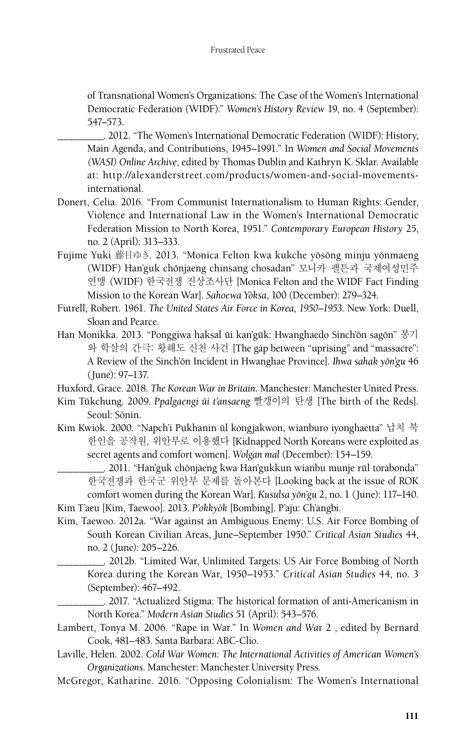of Transnational Women's Organizations: The Case of the Women's International Democratic Federation (WIDF)." *Women's History Review* 19, no. 4 (September): 547–573.

- \_\_\_\_\_\_\_\_\_\_. 2012. "The Women's International Democratic Federation (WIDF): History, Main Agenda, and Contributions, 1945–1991." In *Women and Social Movements (WASI) Online Archive*, edited by Thomas Dublin and Kathryn K. Sklar. Available at: http://alexanderstreet.com/products/women-and-social-movementsinternational.
- Donert, Celia. 2016. "From Communist Internationalism to Human Rights: Gender, Violence and International Law in the Women's International Democratic Federation Mission to North Korea, 1951." *Contemporary European History* 25, no. 2 (April): 313–333.
- Fujime Yuki 藤目ゆき. 2013. "Monica Felton kwa kukche yǒsǒng minju yǒnmaeng (WIDF) Han'guk chŏnjaeng chinsang chosadan" 모니카 팰튼과 국제여성민주 연맹 (WIDF) 한국전쟁 진상조사단 [Monica Felton and the WIDF Fact Finding Mission to the Korean War]. *Sahoewa Yŏksa*, 100 (December): 279-324.
- Futrell, Robert. 1961. *The United States Air Force in Korea, 1950–1953*. New York: Duell, Sloan and Pearce.
- Han Monikka. 2013. "Ponggiwa haksal ŭi kan'gŭk: Hwanghaedo Sinch'ŏn sagŏn" 봉기 와 학살의 간극: 황해도 신천 사건 [The gap between "uprising" and "massacre": A Review of the Sinch'ŏn Incident in Hwanghae Province]. *Ihwa sahak yŏn'gu* 46 (June): 97–137.

Huxford, Grace. 2018. *The Korean War in Britain*. Manchester: Manchester United Press.

- Kim Tŭkchung. 2009. Ppalgaengi ŭi t'ansaeng 빨갱이의 탄생 [The birth of the Reds]. Seoul: Sŏnin.
- Kim Kwiok. 2000. "Napch'i Pukhanin ŭl kongjakwon, wianburo iyonghaetta" 납치 북 한인을 공작원, 위안부로 이용했다 [Kidnapped North Koreans were exploited as secret agents and comfort women]. *Wolgan mal* (December): 154–159.

\_\_\_\_\_\_\_\_\_\_. 2011. "Han'guk cho˘njaeng kwa Han'gukkun wianbu munje ru˘l torabonda" 한국전쟁과 한국군 위안부 문제를 돌아본다 [Looking back at the issue of ROK comfort women during the Korean War]. *Kusulsa yŏn'gu* 2, no. 1 (June): 117-140.

Kim T'aeu [Kim, Taewoo]. 2013. P'okkyŏk [Bombing]. P'aju: Ch'angbi.

Kim, Taewoo. 2012a. "War against an Ambiguous Enemy: U.S. Air Force Bombing of South Korean Civilian Areas, June–September 1950." *Critical Asian Studies* 44, no. 2 (June): 205–226.

\_\_\_\_\_\_\_\_\_\_. 2012b. "Limited War, Unlimited Targets: US Air Force Bombing of North Korea during the Korean War, 1950–1953." *Critical Asian Studies* 44, no. 3 (September): 467–492.

\_\_\_\_\_\_\_\_\_\_. 2017. "Actualized Stigma: The historical formation of anti-Americanism in North Korea." *Modern Asian Studies* 51 (April): 543–576.

- Lambert, Tonya M. 2006. "Rape in War." In *Women and Wa*r 2 , edited by Bernard Cook, 481–483. Santa Barbara: ABC-Clio.
- Laville, Helen. 2002. *Cold War Women: The International Activities of American Women's Organizations*. Manchester: Manchester University Press.
- McGregor, Katharine. 2016. "Opposing Colonialism: The Women's International